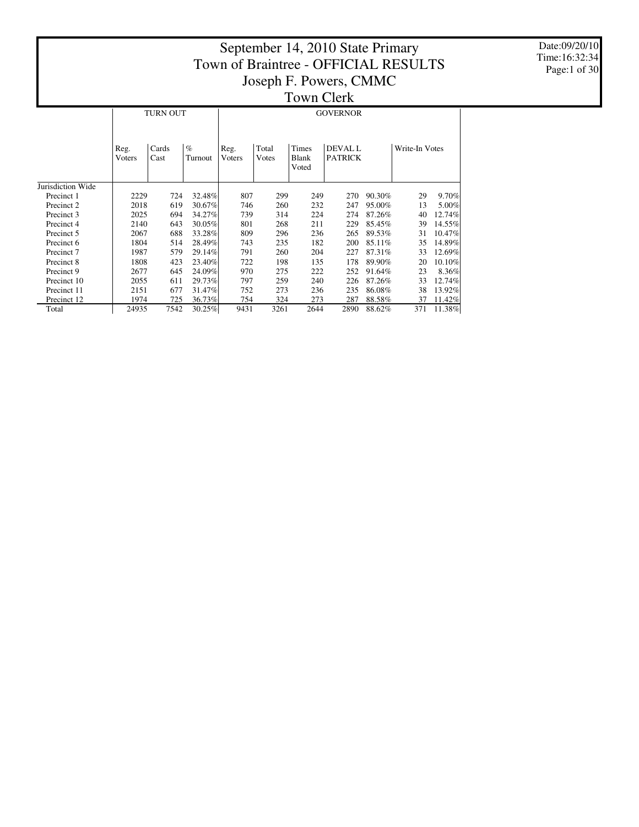Date:09/20/10 Time:16:32:34 Page:1 of 30

|                   |                |                                  |        | TAN'IL ANTIL   |                |                                       |                                  |        |                |        |  |  |  |  |
|-------------------|----------------|----------------------------------|--------|----------------|----------------|---------------------------------------|----------------------------------|--------|----------------|--------|--|--|--|--|
|                   |                | <b>TURN OUT</b>                  |        |                |                |                                       | <b>GOVERNOR</b>                  |        |                |        |  |  |  |  |
|                   | Reg.<br>Voters | $\%$<br>Cards<br>Cast<br>Turnout |        | Reg.<br>Voters | Total<br>Votes | <b>Times</b><br><b>Blank</b><br>Voted | <b>DEVAL L</b><br><b>PATRICK</b> |        | Write-In Votes |        |  |  |  |  |
| Jurisdiction Wide |                |                                  |        |                |                |                                       |                                  |        |                |        |  |  |  |  |
| Precinct 1        | 2229           | 724                              | 32.48% | 807            | 299            | 249                                   | 270                              | 90.30% | 29             | 9.70%  |  |  |  |  |
| Precinct 2        | 2018           | 619                              | 30.67% | 746            | 260            | 232                                   | 247                              | 95.00% | 13             | 5.00%  |  |  |  |  |
| Precinct 3        | 2025           | 694                              | 34.27% | 739            | 314            | 224                                   | 274                              | 87.26% | 40             | 12.74% |  |  |  |  |
| Precinct 4        | 2140           | 643                              | 30.05% | 801            | 268            | 211                                   | 229                              | 85.45% | 39             | 14.55% |  |  |  |  |
| Precinct 5        | 2067           | 688                              | 33.28% | 809            | 296            | 236                                   | 265                              | 89.53% | 31             | 10.47% |  |  |  |  |
| Precinct 6        | 1804           | 514                              | 28.49% | 743            | 235            | 182                                   | 200                              | 85.11% | 35             | 14.89% |  |  |  |  |
| Precinct 7        | 1987           | 579                              | 29.14% | 791            | 260            | 204                                   | 227                              | 87.31% | 33             | 12.69% |  |  |  |  |
| Precinct 8        | 1808           | 423                              | 23.40% | 722            | 198            | 135                                   | 178                              | 89.90% | 20             | 10.10% |  |  |  |  |
| Precinct 9        | 2677           | 645                              | 24.09% | 970            | 275            | 222                                   | 252                              | 91.64% | 23             | 8.36%  |  |  |  |  |
| Precinct 10       | 2055           | 611                              | 29.73% | 797            | 259            | 240                                   | 226                              | 87.26% | 33             | 12.74% |  |  |  |  |
| Precinct 11       | 2151           | 677                              | 31.47% | 752            | 273            | 236                                   | 235                              | 86.08% | 38             | 13.92% |  |  |  |  |
| Precinct 12       | 1974           | 725                              | 36.73% | 754            | 324            | 273                                   | 287                              | 88.58% | 37             | 11.42% |  |  |  |  |
| Total             | 24935          | 7542                             | 30.25% | 9431           | 3261           | 2644                                  | 2890                             | 88.62% | 371            | 11.38% |  |  |  |  |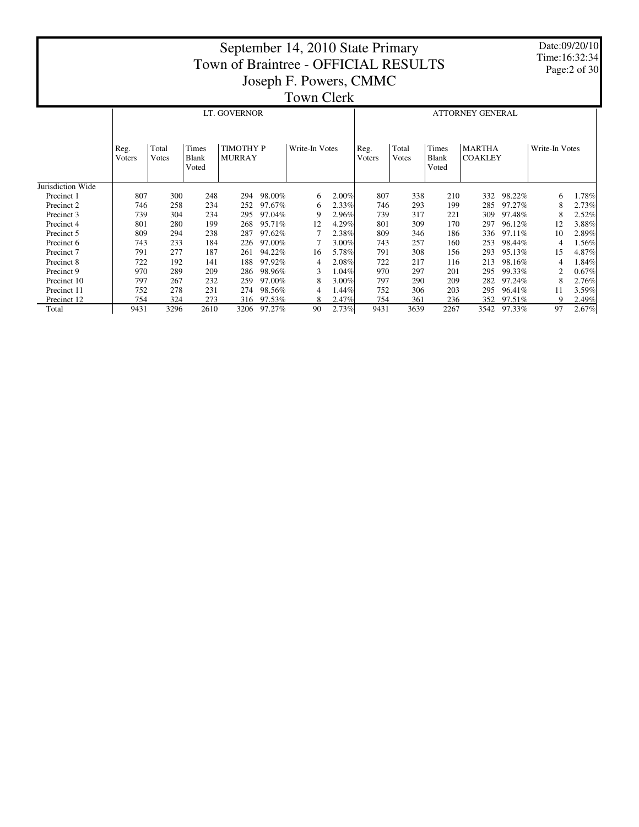Date:09/20/10 Time:16:32:34 Page:2 of 30

|                   |                | .              |                                |                                   |             |                |       |                |                |                                |                                 |        |                |       |
|-------------------|----------------|----------------|--------------------------------|-----------------------------------|-------------|----------------|-------|----------------|----------------|--------------------------------|---------------------------------|--------|----------------|-------|
|                   |                |                |                                | LT. GOVERNOR                      |             |                |       |                |                |                                | <b>ATTORNEY GENERAL</b>         |        |                |       |
|                   | Reg.<br>Voters | Total<br>Votes | Times<br><b>Blank</b><br>Voted | <b>TIMOTHY P</b><br><b>MURRAY</b> |             | Write-In Votes |       | Reg.<br>Voters | Total<br>Votes | Times<br><b>Blank</b><br>Voted | <b>MARTHA</b><br><b>COAKLEY</b> |        | Write-In Votes |       |
| Jurisdiction Wide |                |                |                                |                                   |             |                |       |                |                |                                |                                 |        |                |       |
| Precinct 1        | 807            | 300            | 248                            | 294                               | 98.00%      | 6              | 2.00% | 807            | 338            | 210                            | 332                             | 98.22% | 6              | 1.78% |
| Precinct 2        | 746            | 258            | 234                            | 252                               | 97.67%      | 6              | 2.33% | 746            | 293            | 199                            | 285                             | 97.27% | 8              | 2.73% |
| Precinct 3        | 739            | 304            | 234                            | 295                               | 97.04%      | 9              | 2.96% | 739            | 317            | 221                            | 309                             | 97.48% | 8              | 2.52% |
| Precinct 4        | 801            | 280            | 199                            | 268                               | 95.71%      | 12             | 4.29% | 801            | 309            | 170                            | 297                             | 96.12% | 12             | 3.88% |
| Precinct 5        | 809            | 294            | 238                            | 287                               | 97.62%      |                | 2.38% | 809            | 346            | 186                            | 336                             | 97.11% | 10             | 2.89% |
| Precinct 6        | 743            | 233            | 184                            | 226                               | 97.00%      |                | 3.00% | 743            | 257            | 160                            | 253                             | 98.44% | 4              | 1.56% |
| Precinct 7        | 791            | 277            | 187                            | 261                               | 94.22%      | 16             | 5.78% | 791            | 308            | 156                            | 293                             | 95.13% | 15             | 4.87% |
| Precinct 8        | 722            | 192            | 141                            | 188                               | 97.92%      | 4              | 2.08% | 722            | 217            | 116                            | 213                             | 98.16% |                | 1.84% |
| Precinct 9        | 970            | 289            | 209                            | 286                               | 98.96%      | 3              | 1.04% | 970            | 297            | 201                            | 295                             | 99.33% |                | 0.67% |
| Precinct 10       | 797            | 267            | 232                            | 259                               | 97.00%      | 8              | 3.00% | 797            | 290            | 209                            | 282                             | 97.24% |                | 2.76% |
| Precinct 11       | 752            | 278            | 231                            | 274                               | 98.56%      |                | 1.44% | 752            | 306            | 203                            | 295                             | 96.41% | 11             | 3.59% |
| Precinct 12       | 754            | 324            | 273                            | 316                               | 97.53%      | 8              | 2.47% | 754            | 361            | 236                            | 352                             | 97.51% | Q              | 2.49% |
| Total             | 9431           | 3296           | 2610                           |                                   | 3206 97.27% | 90             | 2.73% | 9431           | 3639           | 2267                           | 3542                            | 97.33% | 97             | 2.67% |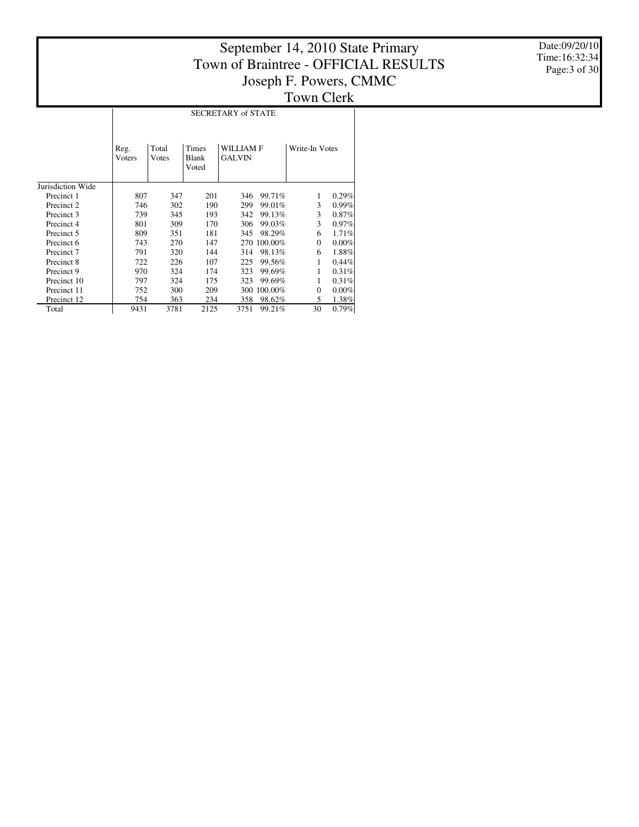Date:09/20/10 Time:16:32:34 Page:3 of 30

|                   |                | SECRETARY of STATE |                         |                            |             |                |          |  |  |  |  |  |  |  |
|-------------------|----------------|--------------------|-------------------------|----------------------------|-------------|----------------|----------|--|--|--|--|--|--|--|
|                   | Reg.<br>Voters | Total<br>Votes     | Times<br>Blank<br>Voted | WILLIAM F<br><b>GALVIN</b> |             | Write-In Votes |          |  |  |  |  |  |  |  |
| Jurisdiction Wide |                |                    |                         |                            |             |                |          |  |  |  |  |  |  |  |
| Precinct 1        | 807            | 347                | 201                     | 346                        | 99.71%      | 1              | 0.29%    |  |  |  |  |  |  |  |
| Precinct 2        | 746            | 302                | 190                     | 299                        | 99.01%      | 3              | $0.99\%$ |  |  |  |  |  |  |  |
| Precinct 3        | 739            | 345                | 193                     | 342                        | 99.13%      | 3              | 0.87%    |  |  |  |  |  |  |  |
| Precinct 4        | 801            | 309                | 170                     | 306                        | 99.03%      | 3              | 0.97%    |  |  |  |  |  |  |  |
| Precinct 5        | 809            | 351                | 181                     | 345                        | 98.29%      | 6              | 1.71%    |  |  |  |  |  |  |  |
| Precinct 6        | 743            | 270                | 147                     |                            | 270 100.00% | $\Omega$       | 0.00%    |  |  |  |  |  |  |  |
| Precinct 7        | 791            | 320                | 144                     | 314                        | 98.13%      | 6              | 1.88%    |  |  |  |  |  |  |  |
| Precinct 8        | 722            | 226                | 107                     | 225                        | 99.56%      | 1              | 0.44%    |  |  |  |  |  |  |  |
| Precinct 9        | 970            | 324                | 174                     | 323                        | 99.69%      | 1              | 0.31%    |  |  |  |  |  |  |  |
| Precinct 10       | 797            | 324                | 175                     | 323                        | 99.69%      | 1              | 0.31%    |  |  |  |  |  |  |  |
| Precinct 11       | 752            | 300                | 209                     | 300                        | 100.00%     | $\Omega$       | $0.00\%$ |  |  |  |  |  |  |  |
| Precinct 12       | 754            | 363                | 234                     | 358                        | 98.62%      | 5              | 1.38%    |  |  |  |  |  |  |  |
| Total             | 9431           | 3781               | 2125                    | 3751                       | 99.21%      | 30             | 0.79%    |  |  |  |  |  |  |  |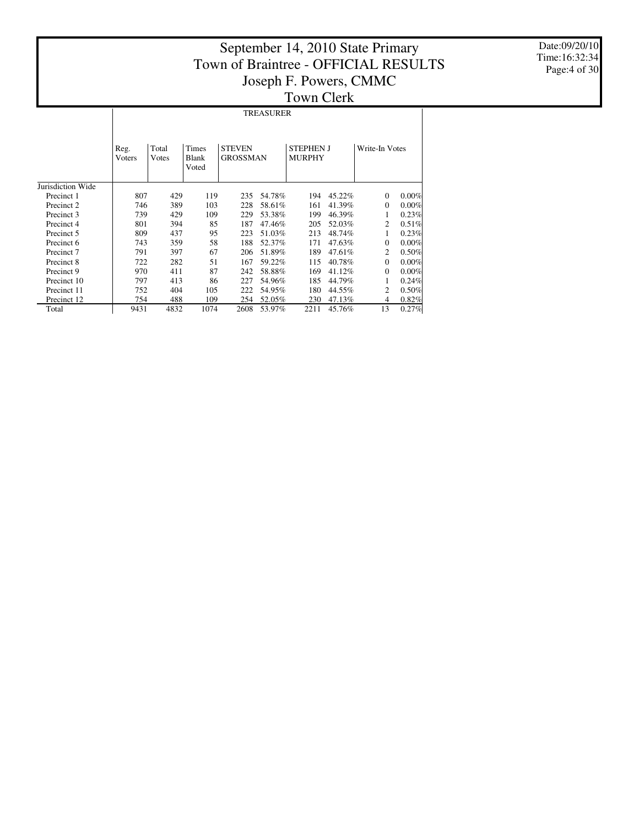$\mathbb{R}$ 

Date:09/20/10 Time:16:32:34 Page:4 of 30

# TREASURER

|                   | Reg.<br>Voters | Total<br>Votes | <b>Times</b><br><b>Blank</b><br>Voted | <b>STEVEN</b><br><b>GROSSMAN</b> |        | <b>STEPHEN J</b><br><b>MURPHY</b> |        | Write-In Votes |       |
|-------------------|----------------|----------------|---------------------------------------|----------------------------------|--------|-----------------------------------|--------|----------------|-------|
| Jurisdiction Wide |                |                |                                       |                                  |        |                                   |        |                |       |
| Precinct 1        | 807            | 429            | 119                                   | 235                              | 54.78% | 194                               | 45.22% | $\mathbf{0}$   | 0.00% |
| Precinct 2        | 746            | 389            | 103                                   | 228                              | 58.61% | 161                               | 41.39% | $\Omega$       | 0.00% |
| Precinct 3        | 739            | 429            | 109                                   | 229                              | 53.38% | 199                               | 46.39% | 1              | 0.23% |
| Precinct 4        | 801            | 394            | 85                                    | 187                              | 47.46% | 205                               | 52.03% | 2              | 0.51% |
| Precinct 5        | 809            | 437            | 95                                    | 223                              | 51.03% | 213                               | 48.74% | 1              | 0.23% |
| Precinct 6        | 743            | 359            | 58                                    | 188                              | 52.37% | 171                               | 47.63% | $\Omega$       | 0.00% |
| Precinct 7        | 791            | 397            | 67                                    | 206                              | 51.89% | 189                               | 47.61% | 2              | 0.50% |
| Precinct 8        | 722            | 282            | 51                                    | 167                              | 59.22% | 115                               | 40.78% | $\mathbf{0}$   | 0.00% |
| Precinct 9        | 970            | 411            | 87                                    | 242                              | 58.88% | 169                               | 41.12% | $\Omega$       | 0.00% |
| Precinct 10       | 797            | 413            | 86                                    | 227                              | 54.96% | 185                               | 44.79% | 1              | 0.24% |
| Precinct 11       | 752            | 404            | 105                                   | 222                              | 54.95% | 180                               | 44.55% | 2              | 0.50% |
| Precinct 12       | 754            | 488            | 109                                   | 254                              | 52.05% | 230                               | 47.13% | 4              | 0.82% |
| Total             | 9431           | 4832           | 1074                                  | 2608                             | 53.97% | 2211                              | 45.76% | 13             | 0.27% |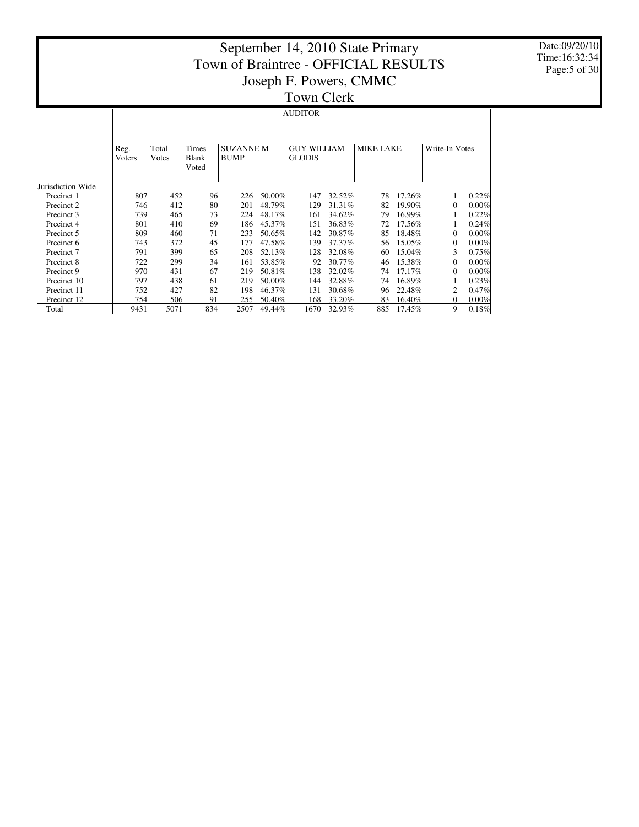Date:09/20/10 Time:16:32:34 Page:5 of 30

#### AUDITOR

|                   | Reg.<br>Voters | Total<br>Votes | Times<br>Blank<br>Voted | <b>SUZANNE M</b><br><b>BUMP</b> |        | <b>GUY WILLIAM</b><br><b>GLODIS</b> |        | <b>MIKE LAKE</b> |           | Write-In Votes |          |
|-------------------|----------------|----------------|-------------------------|---------------------------------|--------|-------------------------------------|--------|------------------|-----------|----------------|----------|
| Jurisdiction Wide |                |                |                         |                                 |        |                                     |        |                  |           |                |          |
| Precinct 1        | 807            | 452            | 96                      | 226                             | 50.00% | 147                                 | 32.52% | 78               | 17.26%    |                | 0.22%    |
| Precinct 2        | 746            | 412            | 80                      | 201                             | 48.79% | 129                                 | 31.31% | 82               | $19.90\%$ | $\Omega$       | $0.00\%$ |
| Precinct 3        | 739            | 465            | 73                      | 224                             | 48.17% | 161                                 | 34.62% | 79               | 16.99%    |                | 0.22%    |
| Precinct 4        | 801            | 410            | 69                      | 186                             | 45.37% | 151                                 | 36.83% | 72               | 17.56%    |                | 0.24%    |
| Precinct 5        | 809            | 460            | 71                      | 233                             | 50.65% | 142                                 | 30.87% | 85               | 18.48%    | $\Omega$       | $0.00\%$ |
| Precinct 6        | 743            | 372            | 45                      | 177                             | 47.58% | 139                                 | 37.37% | 56               | 15.05%    | $\Omega$       | $0.00\%$ |
| Precinct 7        | 791            | 399            | 65                      | 208                             | 52.13% | 128                                 | 32.08% | 60               | 15.04%    | 3              | 0.75%    |
| Precinct 8        | 722            | 299            | 34                      | 161                             | 53.85% | 92                                  | 30.77% | 46               | 15.38%    | $\Omega$       | $0.00\%$ |
| Precinct 9        | 970            | 431            | 67                      | 219                             | 50.81% | 138                                 | 32.02% | 74               | 17.17%    | 0              | $0.00\%$ |
| Precinct 10       | 797            | 438            | 61                      | 219                             | 50.00% | 144                                 | 32.88% | 74               | 16.89%    |                | 0.23%    |
| Precinct 11       | 752            | 427            | 82                      | 198                             | 46.37% | 131                                 | 30.68% | 96               | 22.48%    | 2              | $0.47\%$ |
| Precinct 12       | 754            | 506            | 91                      | 255                             | 50.40% | 168                                 | 33.20% | 83               | 16.40%    | $\Omega$       | $0.00\%$ |
| Total             | 9431           | 5071           | 834                     | 2507                            | 49.44% | 1670                                | 32.93% | 885              | 17.45%    | 9              | 0.18%    |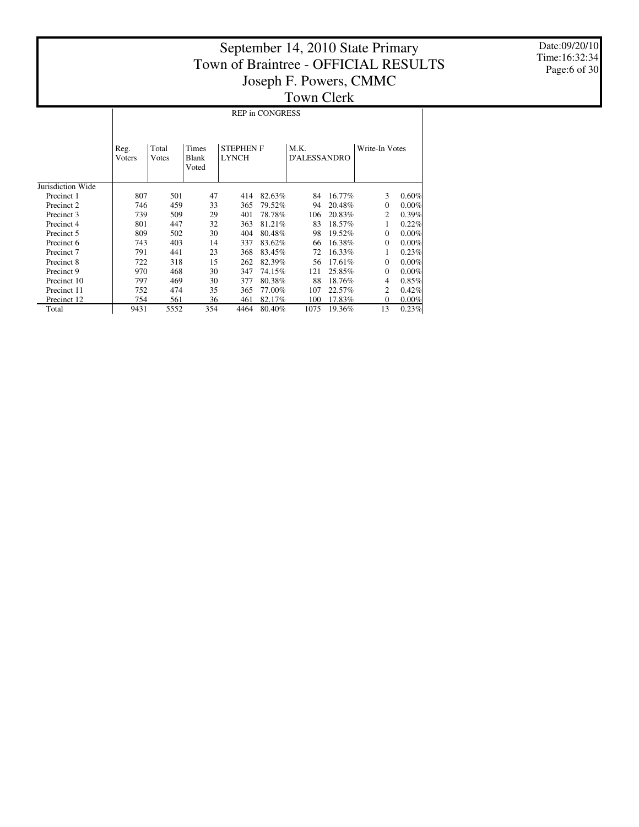Date:09/20/10 Time:16:32:34 Page:6 of 30

|                   |                                  | <b>REP in CONGRESS</b> |                         |                                  |        |                             |        |                |                |  |  |  |  |  |
|-------------------|----------------------------------|------------------------|-------------------------|----------------------------------|--------|-----------------------------|--------|----------------|----------------|--|--|--|--|--|
|                   | Total<br>Reg.<br>Voters<br>Votes |                        | Times<br>Blank<br>Voted | <b>STEPHEN F</b><br><b>LYNCH</b> |        | M.K.<br><b>D'ALESSANDRO</b> |        |                | Write-In Votes |  |  |  |  |  |
| Jurisdiction Wide |                                  |                        |                         |                                  |        |                             |        |                |                |  |  |  |  |  |
| Precinct 1        | 807                              | 501                    | 47                      | 414                              | 82.63% | 84                          | 16.77% | 3              | 0.60%          |  |  |  |  |  |
| Precinct 2        | 746                              | 459                    | 33                      | 365                              | 79.52% | 94                          | 20.48% | $\Omega$       | $0.00\%$       |  |  |  |  |  |
| Precinct 3        | 739                              | 509                    | 29                      | 401                              | 78.78% | 106                         | 20.83% | 2              | 0.39%          |  |  |  |  |  |
| Precinct 4        | 801                              | 447                    | 32                      | 363                              | 81.21% | 83                          | 18.57% | 1              | 0.22%          |  |  |  |  |  |
| Precinct 5        | 809                              | 502                    | 30                      | 404                              | 80.48% | 98                          | 19.52% | $\overline{0}$ | 0.00%          |  |  |  |  |  |
| Precinct 6        | 743                              | 403                    | 14                      | 337                              | 83.62% | 66                          | 16.38% | $\Omega$       | 0.00%          |  |  |  |  |  |
| Precinct 7        | 791                              | 441                    | 23                      | 368                              | 83.45% | 72                          | 16.33% | 1              | 0.23%          |  |  |  |  |  |
| Precinct 8        | 722                              | 318                    | 15                      | 262                              | 82.39% | 56                          | 17.61% | $\Omega$       | 0.00%          |  |  |  |  |  |
| Precinct 9        | 970                              | 468                    | 30                      | 347                              | 74.15% | 121                         | 25.85% | $\Omega$       | 0.00%          |  |  |  |  |  |
| Precinct 10       | 797                              | 469                    | 30                      | 377                              | 80.38% | 88                          | 18.76% | 4              | 0.85%          |  |  |  |  |  |
| Precinct 11       | 752                              | 474                    | 35                      | 365                              | 77.00% | 107                         | 22.57% | 2              | 0.42%          |  |  |  |  |  |
| Precinct 12       | 754                              | 561                    | 36                      | 461                              | 82.17% | 100                         | 17.83% | $\overline{0}$ | 0.00%          |  |  |  |  |  |
| Total             | 9431                             | 5552                   | 354                     | 4464                             | 80.40% | 1075                        | 19.36% | 13             | 0.23%          |  |  |  |  |  |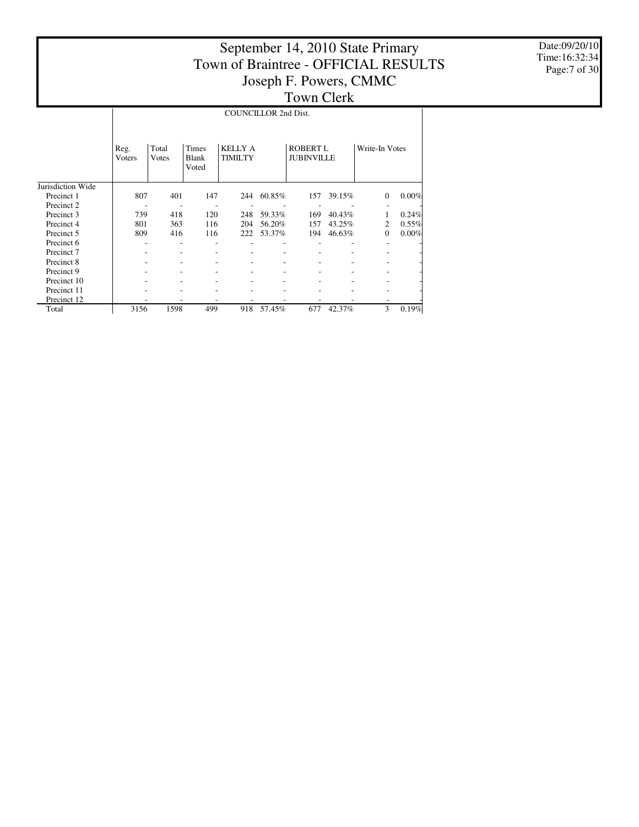Date:09/20/10 Time:16:32:34 Page:7 of 30

|                       |                | <b>COUNCILLOR 2nd Dist.</b>                      |     |                                  |        |                                      |        |                |          |  |  |  |  |
|-----------------------|----------------|--------------------------------------------------|-----|----------------------------------|--------|--------------------------------------|--------|----------------|----------|--|--|--|--|
|                       | Reg.<br>Voters | Total<br>Times<br><b>Blank</b><br>Votes<br>Voted |     | <b>KELLY A</b><br><b>TIMILTY</b> |        | <b>ROBERT L</b><br><b>JUBINVILLE</b> |        | Write-In Votes |          |  |  |  |  |
| Jurisdiction Wide     |                |                                                  |     |                                  |        |                                      |        |                |          |  |  |  |  |
| Precinct 1            | 807            | 401                                              | 147 | 244                              | 60.85% | 157                                  | 39.15% | $\mathbf{0}$   | $0.00\%$ |  |  |  |  |
| Precinct 2            |                |                                                  |     |                                  |        |                                      |        |                |          |  |  |  |  |
| Precinct 3            | 739            | 418                                              | 120 | 248                              | 59.33% | 169                                  | 40.43% |                | 0.24%    |  |  |  |  |
| Precinct 4            | 801            | 363                                              | 116 | 204                              | 56.20% | 157                                  | 43.25% | 2              | $0.55\%$ |  |  |  |  |
| Precinct 5            | 809            | 416                                              | 116 | 222                              | 53.37% | 194                                  | 46.63% | $\mathbf{0}$   | $0.00\%$ |  |  |  |  |
| Precinct 6            |                | ٠                                                |     |                                  |        |                                      |        |                |          |  |  |  |  |
| Precinct <sub>7</sub> |                |                                                  |     |                                  |        |                                      |        |                |          |  |  |  |  |
| Precinct 8            |                |                                                  |     |                                  |        |                                      |        |                |          |  |  |  |  |
| Precinct 9            |                |                                                  |     |                                  |        |                                      |        |                |          |  |  |  |  |
| Precinct 10           |                |                                                  |     |                                  |        |                                      |        |                |          |  |  |  |  |
| Precinct 11           |                |                                                  |     |                                  |        |                                      |        |                |          |  |  |  |  |
| Precinct 12           |                |                                                  |     |                                  |        |                                      |        |                |          |  |  |  |  |
| Total                 | 3156           | 1598                                             | 499 | 918                              | 57.45% | 677                                  | 42.37% | 3              | 0.19%    |  |  |  |  |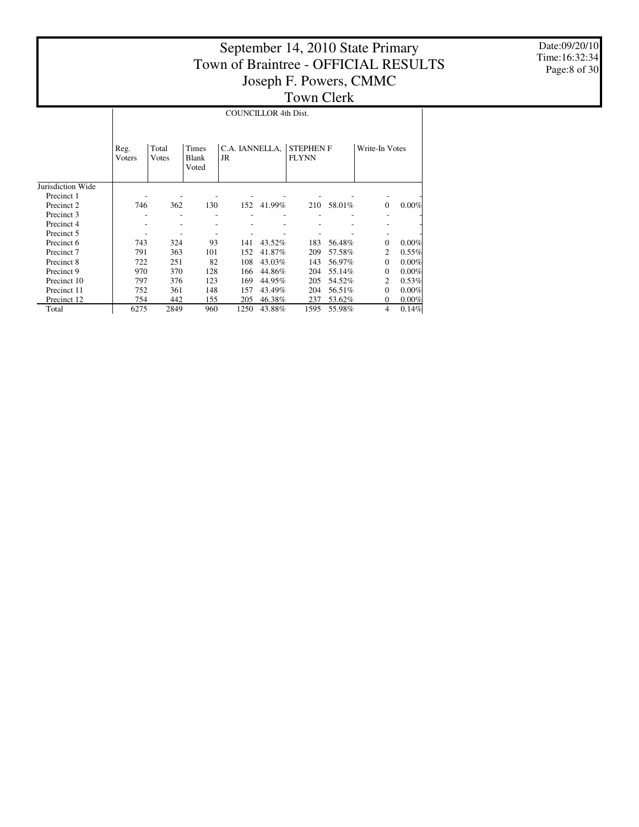Date:09/20/10 Time:16:32:34 Page:8 of 30

|                   |                | <b>COUNCILLOR 4th Dist.</b> |                         |                      |        |                                  |        |                |          |  |  |  |  |
|-------------------|----------------|-----------------------------|-------------------------|----------------------|--------|----------------------------------|--------|----------------|----------|--|--|--|--|
|                   | Reg.<br>Voters | Total<br>Votes              | Times<br>Blank<br>Voted | C.A. IANNELLA,<br>JR |        | <b>STEPHEN F</b><br><b>FLYNN</b> |        | Write-In Votes |          |  |  |  |  |
| Jurisdiction Wide |                |                             |                         |                      |        |                                  |        |                |          |  |  |  |  |
| Precinct 1        |                |                             |                         |                      |        |                                  |        |                |          |  |  |  |  |
| Precinct 2        | 746            | 362                         | 130                     | 152                  | 41.99% | 210                              | 58.01% | $\mathbf{0}$   | 0.00%    |  |  |  |  |
| Precinct 3        |                |                             |                         |                      |        |                                  |        |                |          |  |  |  |  |
| Precinct 4        |                |                             |                         |                      |        |                                  |        |                |          |  |  |  |  |
| Precinct 5        |                |                             |                         |                      |        |                                  |        |                |          |  |  |  |  |
| Precinct 6        | 743            | 324                         | 93                      | 141                  | 43.52% | 183                              | 56.48% | $\Omega$       | 0.00%    |  |  |  |  |
| Precinct 7        | 791            | 363                         | 101                     | 152                  | 41.87% | 209                              | 57.58% | 2              | 0.55%    |  |  |  |  |
| Precinct 8        | 722            | 251                         | 82                      | 108                  | 43.03% | 143                              | 56.97% | $\Omega$       | 0.00%    |  |  |  |  |
| Precinct 9        | 970            | 370                         | 128                     | 166                  | 44.86% | 204                              | 55.14% | $\Omega$       | 0.00%    |  |  |  |  |
| Precinct 10       | 797            | 376                         | 123                     | 169                  | 44.95% | 205                              | 54.52% | 2              | 0.53%    |  |  |  |  |
| Precinct 11       | 752            | 361                         | 148                     | 157                  | 43.49% | 204                              | 56.51% | $\Omega$       | 0.00%    |  |  |  |  |
| Precinct 12       | 754            | 442                         | 155                     | 205                  | 46.38% | 237                              | 53.62% | 0              | $0.00\%$ |  |  |  |  |
| Total             | 6275           | 2849                        | 960                     | 1250                 | 43.88% | 1595                             | 55.98% | 4              | 0.14%    |  |  |  |  |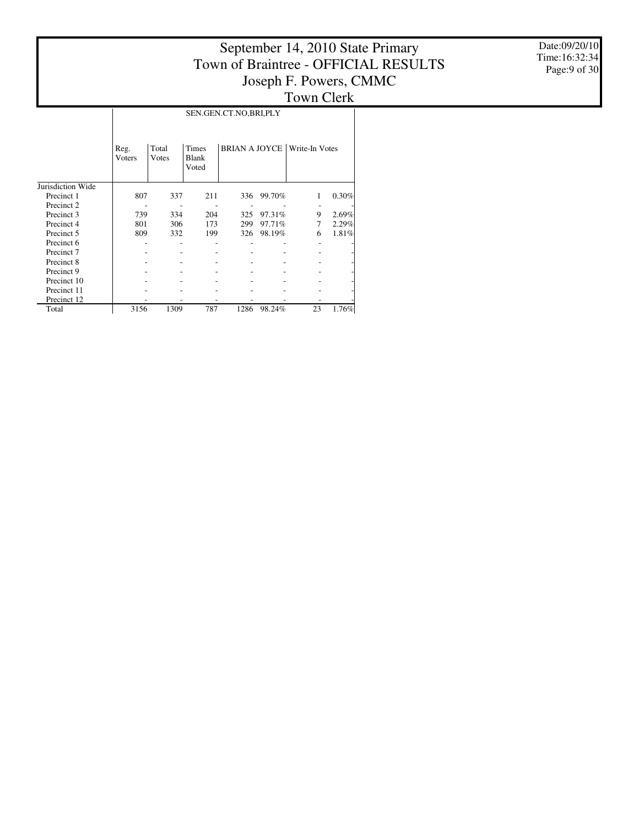Date:09/20/10 Time:16:32:34 Page:9 of 30

|                   |                |                |                                | SEN.GEN.CT.NO,BRI,PLY |        |                              |       |
|-------------------|----------------|----------------|--------------------------------|-----------------------|--------|------------------------------|-------|
|                   | Reg.<br>Voters | Total<br>Votes | Times<br><b>Blank</b><br>Voted |                       |        | BRIAN A JOYCE Write-In Votes |       |
| Jurisdiction Wide |                |                |                                |                       |        |                              |       |
| Precinct 1        | 807            | 337            | 211                            | 336                   | 99.70% | 1                            | 0.30% |
| Precinct 2        |                |                |                                |                       |        |                              |       |
| Precinct 3        | 739            | 334            | 204                            | 325                   | 97.31% | 9                            | 2.69% |
| Precinct 4        | 801            | 306            | 173                            | 299                   | 97.71% | 7                            | 2.29% |
| Precinct 5        | 809            | 332            | 199                            | 326                   | 98.19% | 6                            | 1.81% |
| Precinct 6        |                |                |                                |                       |        |                              |       |
| Precinct 7        |                |                |                                |                       |        |                              |       |
| Precinct 8        |                |                |                                |                       |        |                              |       |
| Precinct 9        |                |                |                                |                       |        |                              |       |
| Precinct 10       |                |                |                                |                       |        |                              |       |
| Precinct 11       |                |                |                                |                       |        |                              | -     |
| Precinct 12       |                |                |                                |                       |        |                              |       |
| Total             | 3156           | 1309           | 787                            | 1286                  | 98.24% | 23                           | 1.76% |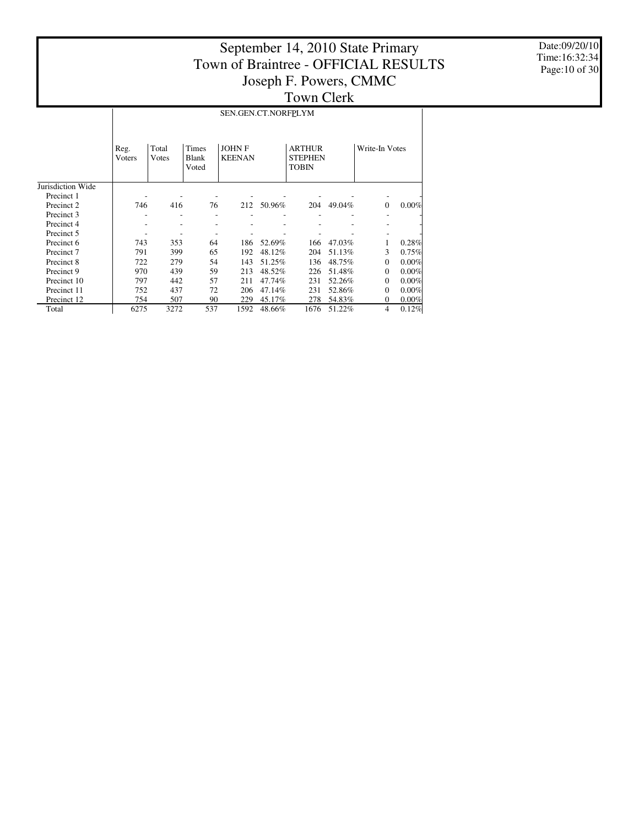Date:09/20/10 Time:16:32:34 Page:10 of 30

|                   |                                                             |      |     | SEN.GEN.CT.NORFPLYM           |        |                                                 |                |              |       |
|-------------------|-------------------------------------------------------------|------|-----|-------------------------------|--------|-------------------------------------------------|----------------|--------------|-------|
|                   | Times<br>Total<br>Reg.<br>Votes<br>Blank<br>Voters<br>Voted |      |     | <b>JOHNF</b><br><b>KEENAN</b> |        | <b>ARTHUR</b><br><b>STEPHEN</b><br><b>TOBIN</b> | Write-In Votes |              |       |
| Jurisdiction Wide |                                                             |      |     |                               |        |                                                 |                |              |       |
| Precinct 1        |                                                             |      |     |                               |        |                                                 |                |              |       |
| Precinct 2        | 746                                                         | 416  | 76  | 212                           | 50.96% | 204                                             | 49.04%         | $\mathbf{0}$ | 0.00% |
| Precinct 3        |                                                             |      |     |                               |        |                                                 |                |              |       |
| Precinct 4        |                                                             |      |     |                               |        |                                                 |                |              |       |
| Precinct 5        |                                                             |      |     |                               |        |                                                 |                |              |       |
| Precinct 6        | 743                                                         | 353  | 64  | 186                           | 52.69% | 166                                             | 47.03%         |              | 0.28% |
| Precinct 7        | 791                                                         | 399  | 65  | 192                           | 48.12% | 204                                             | 51.13%         | 3            | 0.75% |
| Precinct 8        | 722                                                         | 279  | 54  | 143                           | 51.25% | 136                                             | 48.75%         | $\Omega$     | 0.00% |
| Precinct 9        | 970                                                         | 439  | 59  | 213                           | 48.52% | 226                                             | 51.48%         | $\Omega$     | 0.00% |
| Precinct 10       | 797                                                         | 442  | 57  | 211                           | 47.74% | 231                                             | 52.26%         | $\Omega$     | 0.00% |
| Precinct 11       | 752                                                         | 437  | 72  | 206                           | 47.14% | 231                                             | 52.86%         | $\Omega$     | 0.00% |
| Precinct 12       | 754                                                         | 507  | 90  | 229                           | 45.17% | 278                                             | 54.83%         | $\mathbf{0}$ | 0.00% |
| Total             | 6275                                                        | 3272 | 537 | 1592                          | 48.66% | 1676                                            | 51.22%         | 4            | 0.12% |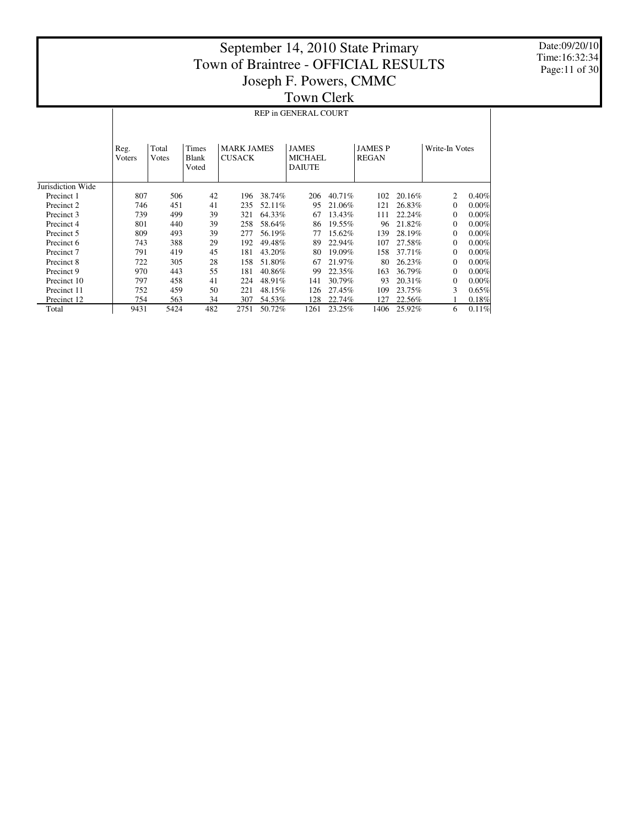Date:09/20/10 Time:16:32:34 Page:11 of 30

|                   |                | REP in GENERAL COURT |                                |                                    |        |                                                 |        |                                |        |                |       |  |  |
|-------------------|----------------|----------------------|--------------------------------|------------------------------------|--------|-------------------------------------------------|--------|--------------------------------|--------|----------------|-------|--|--|
|                   | Reg.<br>Voters | Total<br>Votes       | <b>Times</b><br>Blank<br>Voted | <b>MARK JAMES</b><br><b>CUSACK</b> |        | <b>JAMES</b><br><b>MICHAEL</b><br><b>DAIUTE</b> |        | <b>JAMES P</b><br><b>REGAN</b> |        | Write-In Votes |       |  |  |
| Jurisdiction Wide |                |                      |                                |                                    |        |                                                 |        |                                |        |                |       |  |  |
| Precinct 1        | 807            | 506                  | 42                             | 196                                | 38.74% | 206                                             | 40.71% | 102                            | 20.16% | 2              | 0.40% |  |  |
| Precinct 2        | 746            | 451                  | 41                             | 235                                | 52.11% | 95                                              | 21.06% | 121                            | 26.83% | $\Omega$       | 0.00% |  |  |
| Precinct 3        | 739            | 499                  | 39                             | 321                                | 64.33% | 67                                              | 13.43% | 111                            | 22.24% | $\Omega$       | 0.00% |  |  |
| Precinct 4        | 801            | 440                  | 39                             | 258                                | 58.64% | 86                                              | 19.55% | 96                             | 21.82% | $\Omega$       | 0.00% |  |  |
| Precinct 5        | 809            | 493                  | 39                             | 277                                | 56.19% | 77                                              | 15.62% | 139                            | 28.19% | $\Omega$       | 0.00% |  |  |
| Precinct 6        | 743            | 388                  | 29                             | 192                                | 49.48% | 89                                              | 22.94% | 107                            | 27.58% | $\Omega$       | 0.00% |  |  |
| Precinct 7        | 791            | 419                  | 45                             | 181                                | 43.20% | 80                                              | 19.09% | 158                            | 37.71% | $\Omega$       | 0.00% |  |  |
| Precinct 8        | 722            | 305                  | 28                             | 158                                | 51.80% | 67                                              | 21.97% | 80                             | 26.23% | $\Omega$       | 0.00% |  |  |
| Precinct 9        | 970            | 443                  | 55                             | 181                                | 40.86% | 99                                              | 22.35% | 163                            | 36.79% | $\Omega$       | 0.00% |  |  |
| Precinct 10       | 797            | 458                  | 41                             | 224                                | 48.91% | 141                                             | 30.79% | 93                             | 20.31% | $\Omega$       | 0.00% |  |  |
| Precinct 11       | 752            | 459                  | 50                             | 221                                | 48.15% | 126                                             | 27.45% | 109                            | 23.75% | 3              | 0.65% |  |  |
| Precinct 12       | 754            | 563                  | 34                             | 307                                | 54.53% | 128                                             | 22.74% | 127                            | 22.56% |                | 0.18% |  |  |
| Total             | 9431           | 5424                 | 482                            | 2751                               | 50.72% | 1261                                            | 23.25% | 1406                           | 25.92% | 6              | 0.11% |  |  |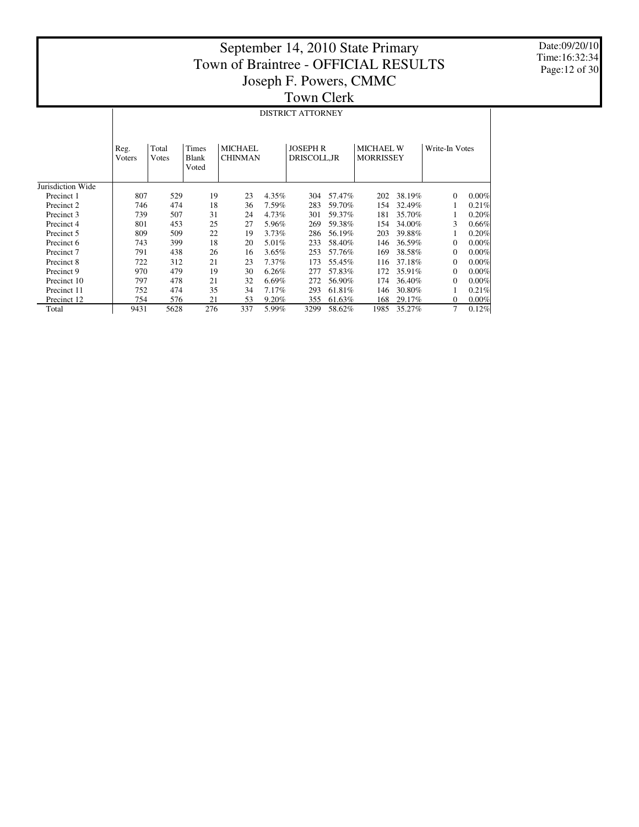Date:09/20/10 Time:16:32:34 Page:12 of 30

|                   |                | <b>DISTRICT ATTORNEY</b> |                                |                           |                                 |      |        |      |                                      |                |          |  |  |  |  |
|-------------------|----------------|--------------------------|--------------------------------|---------------------------|---------------------------------|------|--------|------|--------------------------------------|----------------|----------|--|--|--|--|
|                   | Reg.<br>Voters | Total<br>Votes           | <b>Times</b><br>Blank<br>Voted | MICHAEL<br><b>CHINMAN</b> | <b>JOSEPH R</b><br>DRISCOLL, JR |      |        |      | <b>MICHAEL W</b><br><b>MORRISSEY</b> | Write-In Votes |          |  |  |  |  |
| Jurisdiction Wide |                |                          |                                |                           |                                 |      |        |      |                                      |                |          |  |  |  |  |
| Precinct 1        | 807            | 529                      | 19                             | 23                        | 4.35%                           | 304  | 57.47% | 202  | 38.19%                               | $\overline{0}$ | 0.00%    |  |  |  |  |
| Precinct 2        | 746            | 474                      | 18                             | 36                        | 7.59%                           | 283  | 59.70% | 154  | 32.49%                               | 1              | 0.21%    |  |  |  |  |
| Precinct 3        | 739            | 507                      | 31                             | 24                        | 4.73%                           | 301  | 59.37% | 181  | 35.70%                               |                | 0.20%    |  |  |  |  |
| Precinct 4        | 801            | 453                      | 25                             | 27                        | 5.96%                           | 269  | 59.38% | 154  | 34.00%                               | 3              | 0.66%    |  |  |  |  |
| Precinct 5        | 809            | 509                      | 22                             | 19                        | 3.73%                           | 286  | 56.19% | 203  | 39.88%                               | 1              | 0.20%    |  |  |  |  |
| Precinct 6        | 743            | 399                      | 18                             | 20                        | 5.01%                           | 233  | 58.40% | 146  | 36.59%                               | $\mathbf{0}$   | $0.00\%$ |  |  |  |  |
| Precinct 7        | 791            | 438                      | 26                             | 16                        | 3.65%                           | 253  | 57.76% | 169  | 38.58%                               | $\mathbf{0}$   | 0.00%    |  |  |  |  |
| Precinct 8        | 722            | 312                      | 21                             | 23                        | 7.37%                           | 173  | 55.45% | 116  | 37.18%                               | $\mathbf{0}$   | 0.00%    |  |  |  |  |
| Precinct 9        | 970            | 479                      | 19                             | 30                        | 6.26%                           | 277  | 57.83% | 172  | 35.91%                               | $\mathbf{0}$   | $0.00\%$ |  |  |  |  |
| Precinct 10       | 797            | 478                      | 21                             | 32                        | 6.69%                           | 272  | 56.90% | 174  | 36.40%                               | $\mathbf{0}$   | 0.00%    |  |  |  |  |
| Precinct 11       | 752            | 474                      | 35                             | 34                        | 7.17%                           | 293  | 61.81% | 146  | 30.80%                               | 1              | 0.21%    |  |  |  |  |
| Precinct 12       | 754            | 576                      | 21                             | 53                        | 9.20%                           | 355  | 61.63% | 168  | 29.17%                               | $\overline{0}$ | 0.00%    |  |  |  |  |
| Total             | 9431           | 5628                     | 276                            | 337                       | 5.99%                           | 3299 | 58.62% | 1985 | 35.27%                               | 7              | 0.12%    |  |  |  |  |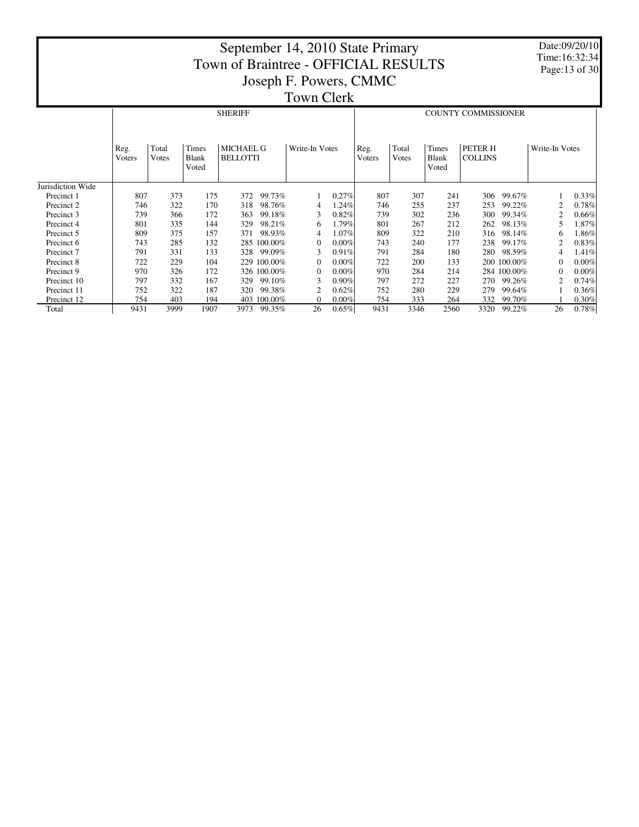Date:09/20/10 Time:16:32:34 Page:13 of 30

|                   |                                                                                                    |      |      | <b>SHERIFF</b> |             |                |          | <b>COUNTY COMMISSIONER</b> |                |                         |                           |             |                |          |
|-------------------|----------------------------------------------------------------------------------------------------|------|------|----------------|-------------|----------------|----------|----------------------------|----------------|-------------------------|---------------------------|-------------|----------------|----------|
|                   | Times<br><b>MICHAEL G</b><br>Total<br>Reg.<br><b>BELLOTTI</b><br>Votes<br>Blank<br>Voters<br>Voted |      |      |                |             | Write-In Votes |          | Reg.<br>Voters             | Total<br>Votes | Times<br>Blank<br>Voted | PETER H<br><b>COLLINS</b> |             | Write-In Votes |          |
| Jurisdiction Wide |                                                                                                    |      |      |                |             |                |          |                            |                |                         |                           |             |                |          |
| Precinct 1        | 807                                                                                                | 373  | 175  | 372            | 99.73%      |                | 0.27%    | 807                        | 307            | 241                     | 306                       | 99.67%      |                | 0.33%    |
| Precinct 2        | 746                                                                                                | 322  | 170  | 318            | 98.76%      | 4              | 1.24%    | 746                        | 255            | 237                     | 253                       | 99.22%      |                | 0.78%    |
| Precinct 3        | 739                                                                                                | 366  | 172  | 363            | 99.18%      | 3              | 0.82%    | 739                        | 302            | 236                     | 300                       | 99.34%      |                | $0.66\%$ |
| Precinct 4        | 801                                                                                                | 335  | 144  | 329            | 98.21%      | 6              | $1.79\%$ | 801                        | 267            | 212                     | 262                       | 98.13%      | 5              | $1.87\%$ |
| Precinct 5        | 809                                                                                                | 375  | 157  | 371            | 98.93%      | 4              | 1.07%    | 809                        | 322            | 210                     | 316                       | 98.14%      | 6              | $1.86\%$ |
| Precinct 6        | 743                                                                                                | 285  | 132  |                | 285 100.00% | $\Omega$       | $0.00\%$ | 743                        | 240            | 177                     | 238                       | 99.17%      | 2              | 0.83%    |
| Precinct 7        | 791                                                                                                | 331  | 133  | 328            | 99.09%      | 3              | 0.91%    | 791                        | 284            | 180                     | 280                       | 98.59%      | 4              | 1.41%    |
| Precinct 8        | 722                                                                                                | 229  | 104  | 229            | 100.00%     | $\Omega$       | 0.00%    | 722                        | 200            | 133                     |                           | 200 100.00% | $\Omega$       | 0.00%    |
| Precinct 9        | 970                                                                                                | 326  | 172  |                | 326 100.00% | $\Omega$       | 0.00%    | 970                        | 284            | 214                     |                           | 284 100.00% |                | $0.00\%$ |
| Precinct 10       | 797                                                                                                | 332  | 167  | 329            | 99.10%      | 3              | 0.90%    | 797                        | 272            | 227                     | 270                       | 99.26%      | 2              | 0.74%    |
| Precinct 11       | 752                                                                                                | 322  | 187  | 320            | 99.38%      | 2              | 0.62%    | 752                        | 280            | 229                     | 279                       | 99.64%      |                | 0.36%    |
| Precinct 12       | 754                                                                                                | 403  | 194  | 403            | 100.00%     | $\Omega$       | 0.00%    | 754                        | 333            | 264                     | 332                       | 99.70%      |                | 0.30%    |
| Total             | 9431                                                                                               | 3999 | 1907 | 3973           | 99.35%      | 26             | $0.65\%$ | 9431                       | 3346           | 2560                    | 3320                      | 99.22%      | 26             | 0.78%    |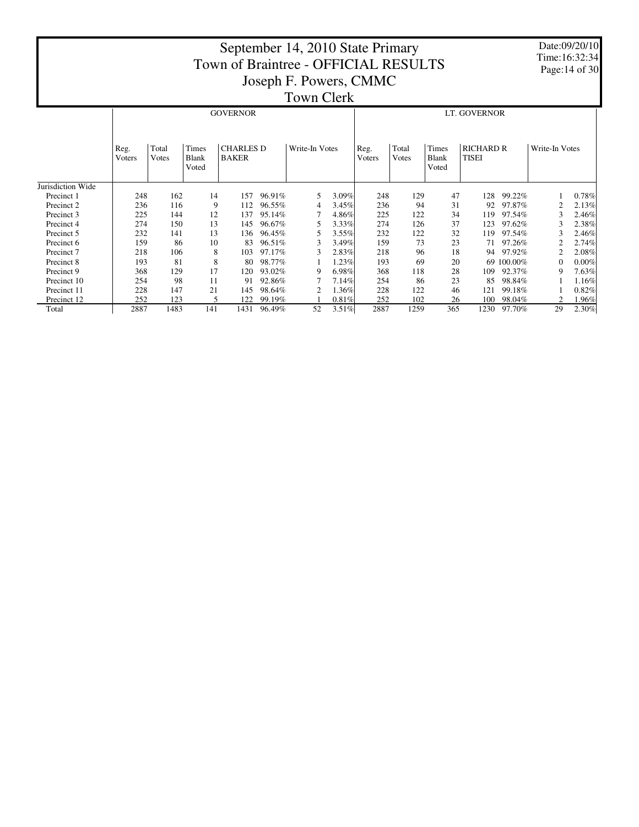|                   |                |                                                                                                 |     |                 |        | September 14, 2010 State Primary<br>Town of Braintree - OFFICIAL RESULTS<br>Joseph F. Powers, CMMC<br><b>Town Clerk</b> |          |                |                |                                |                           |            | Time:16:32:34  | Date:09/20/10<br>Page: 14 of 30 |
|-------------------|----------------|-------------------------------------------------------------------------------------------------|-----|-----------------|--------|-------------------------------------------------------------------------------------------------------------------------|----------|----------------|----------------|--------------------------------|---------------------------|------------|----------------|---------------------------------|
|                   |                |                                                                                                 |     | <b>GOVERNOR</b> |        |                                                                                                                         |          | LT. GOVERNOR   |                |                                |                           |            |                |                                 |
|                   | Reg.<br>Voters | Total<br>Times<br><b>CHARLES D</b><br>Write-In Votes<br><b>BAKER</b><br>Votes<br>Blank<br>Voted |     |                 |        |                                                                                                                         |          | Reg.<br>Voters | Total<br>Votes | Times<br><b>Blank</b><br>Voted | <b>RICHARD R</b><br>TISEI |            | Write-In Votes |                                 |
| Jurisdiction Wide |                |                                                                                                 |     |                 |        |                                                                                                                         |          |                |                |                                |                           |            |                |                                 |
| Precinct 1        | 248            | 162                                                                                             | 14  | 157             | 96.91% | 5                                                                                                                       | 3.09%    | 248            | 129            | 47                             | 128                       | 99.22%     |                | 0.78%                           |
| Precinct 2        | 236            | 116                                                                                             | 9   | 112             | 96.55% | 4                                                                                                                       | 3.45%    | 236            | 94             | 31                             | 92                        | 97.87%     |                | 2.13%                           |
| Precinct 3        | 225            | 144                                                                                             | 12  | 137             | 95.14% |                                                                                                                         | 4.86%    | 225            | 122            | 34                             | 119                       | 97.54%     | 3              | 2.46%                           |
| Precinct 4        | 274            | 150                                                                                             | 13  | 145             | 96.67% |                                                                                                                         | 3.33%    | 274            | 126            | 37                             | 123                       | 97.62%     |                | 2.38%                           |
| Precinct 5        | 232            | 141                                                                                             | 13  | 136             | 96.45% | 5                                                                                                                       | 3.55%    | 232            | 122            | 32                             | 119                       | 97.54%     |                | 2.46%                           |
| Precinct 6        | 159            | 86                                                                                              | 10  | 83              | 96.51% |                                                                                                                         | 3.49%    | 159            | 73             | 23                             | 71                        | 97.26%     |                | 2.74%                           |
| Precinct 7        | 218            | 106                                                                                             | 8   | 103             | 97.17% | 3                                                                                                                       | 2.83%    | 218            | 96             | 18                             | 94                        | 97.92%     | $\overline{2}$ | 2.08%                           |
| Precinct 8        | 193            | 81                                                                                              | 8   | 80              | 98.77% |                                                                                                                         | 1.23%    | 193            | 69             | 20                             |                           | 69 100.00% | $\Omega$       | 0.00%                           |
| Precinct 9        | 368            | 129                                                                                             | 17  | 120             | 93.02% | 9                                                                                                                       | 6.98%    | 368            | 118            | 28                             | 109                       | 92.37%     | 9              | 7.63%                           |
| Precinct 10       | 254            | 98                                                                                              | 11  | 91              | 92.86% |                                                                                                                         | 7.14%    | 254            | 86             | 23                             | 85                        | 98.84%     |                | 1.16%                           |
| Precinct 11       | 228            | 147                                                                                             | 21  | 145             | 98.64% |                                                                                                                         | 1.36%    | 228            | 122            | 46                             | 121                       | 99.18%     |                | 0.82%                           |
| Precinct 12       | 252            | 123                                                                                             | 5   | 122             | 99.19% |                                                                                                                         | 0.81%    | 252            | 102            | 26                             | 100                       | 98.04%     | $\mathfrak{D}$ | 1.96%                           |
| Total             | 2887           | 1483                                                                                            | 141 | 1431            | 96.49% | 52                                                                                                                      | $3.51\%$ | 2887           | 1259           | 365                            | 1230                      | 97.70%     | 29             | 2.30%                           |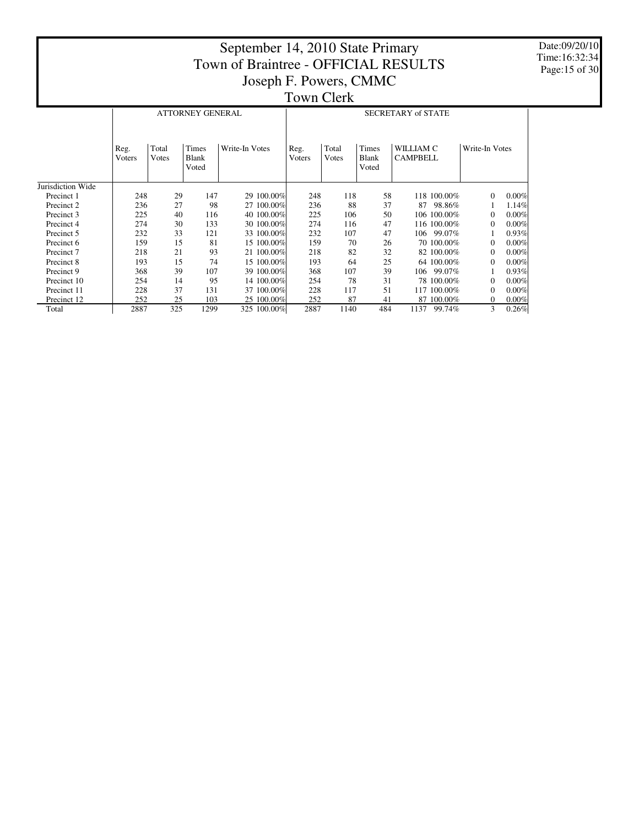Date:09/20/10 Time:16:32:34 Page:15 of 30

|                   |                |                | <b>ATTORNEY GENERAL</b> |                | <b>SECRETARY of STATE</b> |                |                                |                              |                |       |  |  |
|-------------------|----------------|----------------|-------------------------|----------------|---------------------------|----------------|--------------------------------|------------------------------|----------------|-------|--|--|
|                   | Reg.<br>Voters | Total<br>Votes | Times<br>Blank<br>Voted | Write-In Votes | Reg.<br>Voters            | Total<br>Votes | Times<br><b>Blank</b><br>Voted | WILLIAM C<br><b>CAMPBELL</b> | Write-In Votes |       |  |  |
| Jurisdiction Wide |                |                |                         |                |                           |                |                                |                              |                |       |  |  |
| Precinct 1        | 248            | 29             | 147                     | 29 100.00%     | 248                       | 118            | 58                             | 118 100.00%                  | $\Omega$       | 0.00% |  |  |
| Precinct 2        | 236            | 27             | 98                      | 27 100.00%     | 236                       | 88             | 37                             | 98.86%<br>87                 |                | 1.14% |  |  |
| Precinct 3        | 225            | 40             | 116                     | 40 100.00%     | 225                       | 106            | 50                             | 106 100.00%                  | $\Omega$       | 0.00% |  |  |
| Precinct 4        | 274            | 30             | 133                     | 30 100.00%     | 274                       | 116            | 47                             | 116 100.00%                  | 0              | 0.00% |  |  |
| Precinct 5        | 232            | 33             | 121                     | 33 100.00%     | 232                       | 107            | 47                             | 99.07%<br>106                |                | 0.93% |  |  |
| Precinct 6        | 159            | 15             | 81                      | 15 100.00%     | 159                       | 70             | 26                             | 70 100.00%                   | $\Omega$       | 0.00% |  |  |
| Precinct 7        | 218            | 21             | 93                      | 21 100.00%     | 218                       | 82             | 32                             | 82 100.00%                   | 0              | 0.00% |  |  |
| Precinct 8        | 193            | 15             | 74                      | 15 100.00%     | 193                       | 64             | 25                             | 64 100.00%                   | $\Omega$       | 0.00% |  |  |
| Precinct 9        | 368            | 39             | 107                     | 39 100.00%     | 368                       | 107            | 39                             | 99.07%<br>106                |                | 0.93% |  |  |
| Precinct 10       | 254            | 14             | 95                      | 14 100.00%     | 254                       | 78             | 31                             | 78 100.00%                   | 0              | 0.00% |  |  |
| Precinct 11       | 228            | 37             | 131                     | 37 100.00%     | 228                       | 117            | 51                             | 117 100.00%                  | $\Omega$       | 0.00% |  |  |
| Precinct 12       | 252            | 25             | 103                     | 25 100.00%     | 252                       | 87             | 41                             | 87 100.00%                   | $\bf{0}$       | 0.00% |  |  |
| Total             | 2887           | 325            | 1299                    | 325 100.00%    | 2887                      | 1140           | 484                            | 1137<br>99.74%               | 3              | 0.26% |  |  |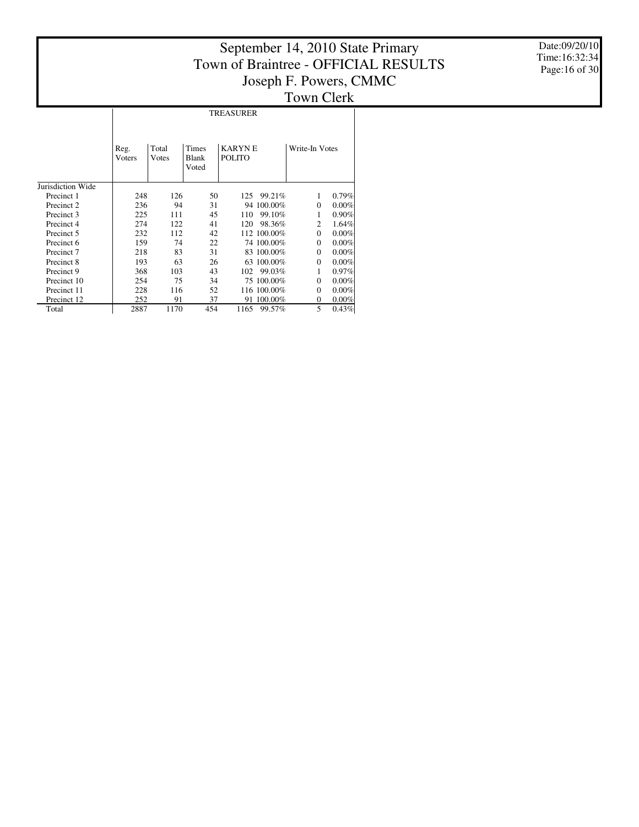Date:09/20/10 Time:16:32:34 Page:16 of 30

#### Jurisdiction Wide Precinct 1 Precinct 2 Precinct 3 Precinct 4 Precinct 5 Precinct 6 Precinct 7 Precinct 8 Precinct 9 Precinct 10 Precinct 11 Precinct 12 Total Reg. Voters Total Votes Times Blank Voted KARYN E POLITO Write-In Votes TREASURER  $\begin{array}{cccccc} 248 & & 126 & & 50 & & 125 & 99.21\% & & 1 & 0.79\% \\ 236 & & 94 & & 31 & & 94 & 100.00\% & & 0 & 0.00\% \end{array}$ 236 94 31 94 100.00% 0 0.00% 225 111 45 110 99.10% 1 0.90%  $\begin{array}{ccccccccc} 274 & & 122 & & 41 & & 120 & 98.36\% & & 2 & 1.64\% \\ 232 & & 112 & & 42 & & 112 & 100.00\% & & 0 & 0.00\% \end{array}$  $\begin{array}{ccccccccc} 232 && 112 && 42 && 112 & 100.00\% && 0 && 0.00\% \\ 159 && 74 && 22 && 74 & 100.00\% && 0 && 0.00\% \end{array}$  $\begin{array}{cccccc} 159 & \quad & 74 & \quad & 22 & \quad & 74\ 100.00\% & \quad & 0 & \quad & 0.00\% \\ 218 & \quad & 83 & \quad & 31 & \quad & 83\ 100.00\% & \quad & 0 & \quad & 0.00\% \end{array}$  $\begin{array}{ccccccccc} 218 && 83 && 31 && 83 & 100.00\% && 0 && 0.00\% \\ 193 && 63 && 26 && 63 & 100.00\% && 0 && 0.00\% \end{array}$ 193 63 26 63 100.00% 0 0.00%  $\begin{array}{ccccccccc} 368 && 103 && 43 && 102 && 99.03\% && 1 && 0.97\% \\ 254 && 75 && 34 && 75 && 100.00\% && 0 && 0.00\% \end{array}$ 254 75 34 75 100.00% 0 0.00% 228 116 52 116 100.00% 0 0.00%  $\frac{252}{2887} \qquad \frac{91}{1170} \qquad \frac{37}{454} \qquad \frac{91}{1165} \qquad \frac{90.00\%}{99.57\%} \qquad \frac{0}{5} \qquad \frac{0.00\%}{0.43\%}$ 1165 99.57%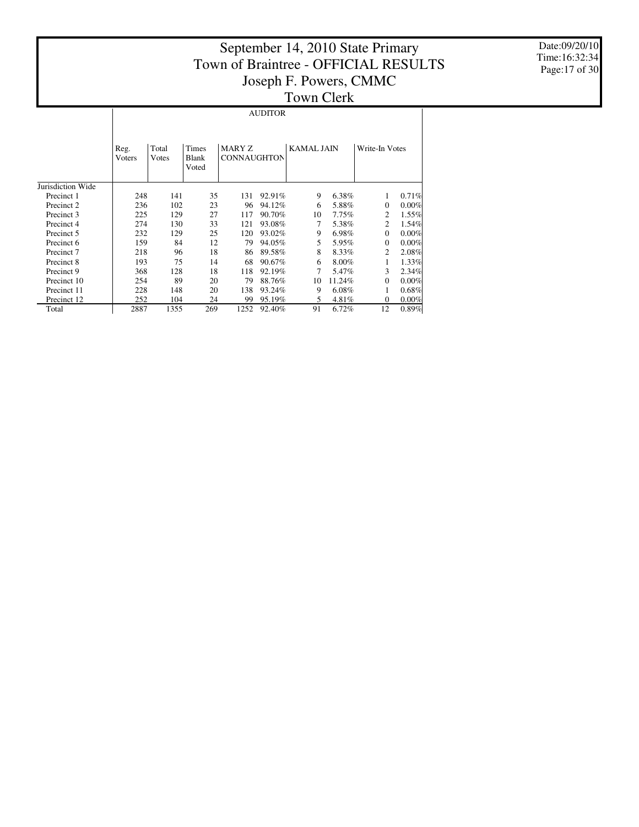$\overline{\phantom{a}}$ 

Date:09/20/10 Time:16:32:34 Page:17 of 30

| Town Cle |  |
|----------|--|
|----------|--|

AUDITOR

|                       | Reg.<br>Voters | Total<br>Votes | Times<br>Blank<br>Voted | MARY Z<br><b>CONNAUGHTON</b> |        | <b>KAMAL JAIN</b> |        | Write-In Votes |       |
|-----------------------|----------------|----------------|-------------------------|------------------------------|--------|-------------------|--------|----------------|-------|
| Jurisdiction Wide     |                |                |                         |                              |        |                   |        |                |       |
| Precinct 1            | 248            | 141            | 35                      | 131                          | 92.91% | 9                 | 6.38%  |                | 0.71% |
| Precinct 2            | 236            | 102            | 23                      | 96                           | 94.12% | 6                 | 5.88%  | $\Omega$       | 0.00% |
| Precinct 3            | 225            | 129            | 27                      | 117                          | 90.70% | 10                | 7.75%  | 2              | 1.55% |
| Precinct 4            | 274            | 130            | 33                      | 121                          | 93.08% | 7                 | 5.38%  | 2              | 1.54% |
| Precinct 5            | 232            | 129            | 25                      | 120                          | 93.02% | 9                 | 6.98%  | $\Omega$       | 0.00% |
| Precinct 6            | 159            | 84             | 12                      | 79                           | 94.05% | 5                 | 5.95%  | $\Omega$       | 0.00% |
| Precinct <sub>7</sub> | 218            | 96             | 18                      | 86                           | 89.58% | 8                 | 8.33%  | 2              | 2.08% |
| Precinct 8            | 193            | 75             | 14                      | 68                           | 90.67% | 6                 | 8.00%  |                | 1.33% |
| Precinct 9            | 368            | 128            | 18                      | 118                          | 92.19% | 7                 | 5.47%  | 3              | 2.34% |
| Precinct 10           | 254            | 89             | 20                      | 79                           | 88.76% | 10                | 11.24% | $\Omega$       | 0.00% |
| Precinct 11           | 228            | 148            | 20                      | 138                          | 93.24% | 9                 | 6.08%  |                | 0.68% |
| Precinct 12           | 252            | 104            | 24                      | 99                           | 95.19% | 5                 | 4.81%  | $\Omega$       | 0.00% |
| Total                 | 2887           | 1355           | 269                     | 1252                         | 92.40% | 91                | 6.72%  | 12             | 0.89% |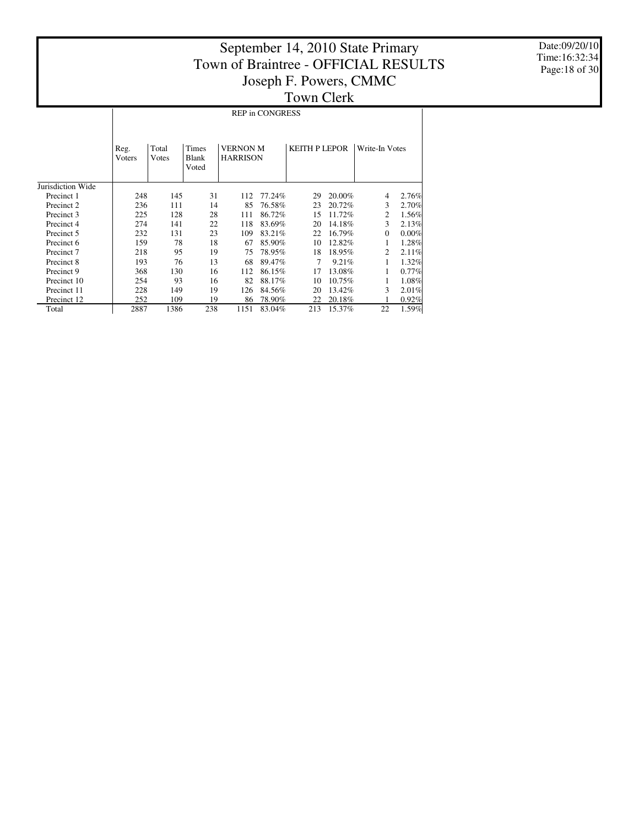Date:09/20/10 Time:16:32:34 Page:18 of 30

|                   | <b>REP in CONGRESS</b>                                                                                   |      |     |      |                      |     |                |          |       |  |  |  |
|-------------------|----------------------------------------------------------------------------------------------------------|------|-----|------|----------------------|-----|----------------|----------|-------|--|--|--|
|                   | Times<br><b>VERNON M</b><br>Total<br>Reg.<br><b>Blank</b><br><b>HARRISON</b><br>Votes<br>Voters<br>Voted |      |     |      | <b>KEITH P LEPOR</b> |     | Write-In Votes |          |       |  |  |  |
| Jurisdiction Wide |                                                                                                          |      |     |      |                      |     |                |          |       |  |  |  |
| Precinct 1        | 248                                                                                                      | 145  | 31  | 112  | 77.24%               | 29  | 20.00%         | 4        | 2.76% |  |  |  |
| Precinct 2        | 236                                                                                                      | 111  | 14  | 85   | 76.58%               | 23  | 20.72%         | 3        | 2.70% |  |  |  |
| Precinct 3        | 225                                                                                                      | 128  | 28  | 111  | 86.72%               | 15  | 11.72%         | 2        | 1.56% |  |  |  |
| Precinct 4        | 274                                                                                                      | 141  | 22  | 118  | 83.69%               | 20  | 14.18%         | 3        | 2.13% |  |  |  |
| Precinct 5        | 232                                                                                                      | 131  | 23  | 109  | 83.21%               | 22  | 16.79%         | $\Omega$ | 0.00% |  |  |  |
| Precinct 6        | 159                                                                                                      | 78   | 18  | 67   | 85.90%               | 10  | 12.82%         | 1        | 1.28% |  |  |  |
| Precinct 7        | 218                                                                                                      | 95   | 19  | 75   | 78.95%               | 18  | 18.95%         | 2        | 2.11% |  |  |  |
| Precinct 8        | 193                                                                                                      | 76   | 13  | 68   | 89.47%               | 7   | $9.21\%$       | 1        | 1.32% |  |  |  |
| Precinct 9        | 368                                                                                                      | 130  | 16  | 112  | 86.15%               | 17  | 13.08%         | 1        | 0.77% |  |  |  |
| Precinct 10       | 254                                                                                                      | 93   | 16  | 82   | 88.17%               | 10  | 10.75%         | 1        | 1.08% |  |  |  |
| Precinct 11       | 228                                                                                                      | 149  | 19  | 126  | 84.56%               | 20  | 13.42%         | 3        | 2.01% |  |  |  |
| Precinct 12       | 252                                                                                                      | 109  | 19  | 86   | 78.90%               | 22  | 20.18%         |          | 0.92% |  |  |  |
| Total             | 2887                                                                                                     | 1386 | 238 | 1151 | 83.04%               | 213 | 15.37%         | 22       | 1.59% |  |  |  |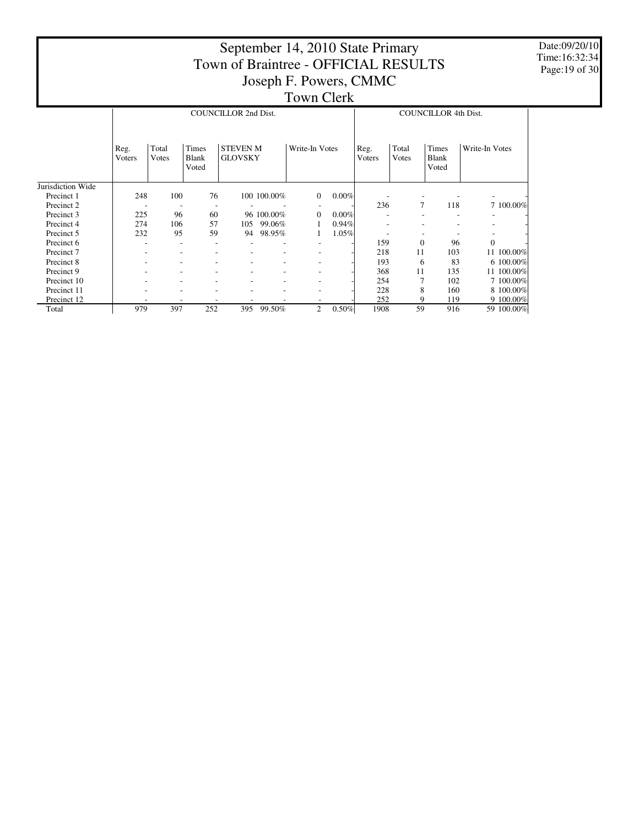|                       | September 14, 2010 State Primary<br>Town of Braintree - OFFICIAL RESULTS<br>Joseph F. Powers, CMMC<br><b>Town Clerk</b> |                |                                |                                   |             |                |       |                |                |                                |                |  |  |  |  |
|-----------------------|-------------------------------------------------------------------------------------------------------------------------|----------------|--------------------------------|-----------------------------------|-------------|----------------|-------|----------------|----------------|--------------------------------|----------------|--|--|--|--|
|                       |                                                                                                                         |                |                                | <b>COUNCILLOR 2nd Dist.</b>       |             |                |       |                |                | <b>COUNCILLOR 4th Dist.</b>    |                |  |  |  |  |
|                       | Reg.<br>Voters                                                                                                          | Total<br>Votes | Times<br><b>Blank</b><br>Voted | <b>STEVEN M</b><br><b>GLOVSKY</b> |             | Write-In Votes |       | Reg.<br>Voters | Total<br>Votes | Times<br><b>Blank</b><br>Voted | Write-In Votes |  |  |  |  |
| Jurisdiction Wide     |                                                                                                                         |                |                                |                                   |             |                |       |                |                |                                |                |  |  |  |  |
| Precinct 1            | 248                                                                                                                     | 100            | 76                             |                                   | 100 100.00% | $\overline{0}$ | 0.00% |                |                |                                |                |  |  |  |  |
| Precinct 2            |                                                                                                                         |                |                                |                                   |             |                |       | 236            | $\overline{7}$ | 118                            | 7 100.00%      |  |  |  |  |
| Precinct 3            | 225                                                                                                                     | 96             | 60                             |                                   | 96 100.00%  | $\Omega$       | 0.00% |                |                |                                |                |  |  |  |  |
| Precinct 4            | 274                                                                                                                     | 106            | 57                             | 105                               | 99.06%      |                | 0.94% |                |                |                                |                |  |  |  |  |
| Precinct 5            | 232                                                                                                                     | 95             | 59                             | 94                                | 98.95%      |                | 1.05% |                |                |                                |                |  |  |  |  |
| Precinct 6            |                                                                                                                         |                |                                |                                   |             |                |       | 159            | $\mathbf{0}$   | 96                             | $\overline{0}$ |  |  |  |  |
| Precinct <sub>7</sub> |                                                                                                                         |                |                                |                                   |             |                |       | 218            | 11             | 103                            | 11 100.00%     |  |  |  |  |
| Precinct 8            |                                                                                                                         |                |                                |                                   |             |                |       | 193            | 6              | 83                             | 6 100,00%      |  |  |  |  |
| Precinct 9            |                                                                                                                         |                |                                |                                   |             |                |       | 368            | 11             | 135                            | 11 100.00%     |  |  |  |  |
| Precinct 10           |                                                                                                                         |                |                                |                                   |             |                |       | 254            |                | 102                            | 7 100.00%      |  |  |  |  |
| Precinct 11           |                                                                                                                         |                |                                |                                   |             |                |       | 228            | 8              | 160                            | 8 100,00%      |  |  |  |  |
| Precinct 12           |                                                                                                                         |                |                                |                                   |             |                |       | 252            | 9              | 119                            | 9 100.00%      |  |  |  |  |
| Total                 | 979                                                                                                                     | 397            | 252                            |                                   | 395 99.50%  | $\overline{c}$ | 0.50% | 1908           | 59             | 916                            | 59 100.00%     |  |  |  |  |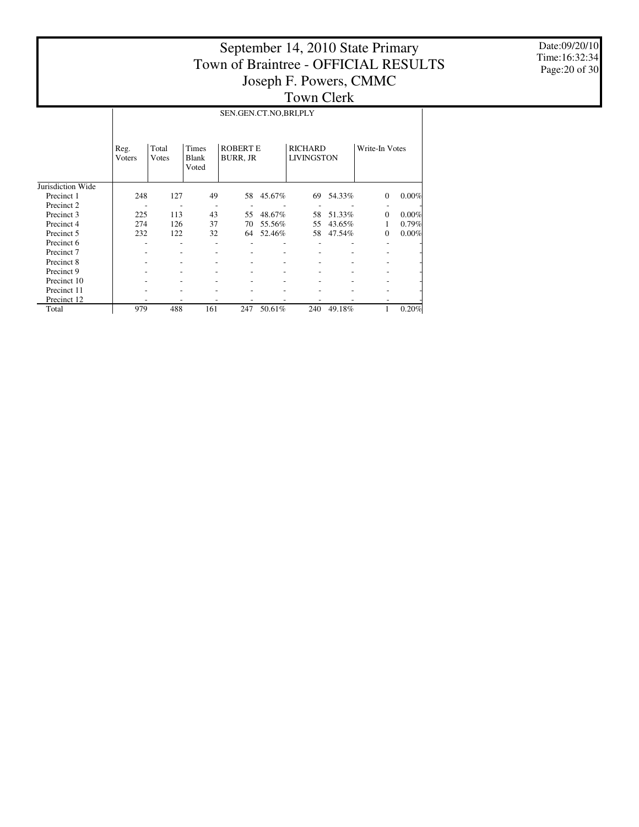Date:09/20/10 Time:16:32:34 Page:20 of 30

|                   |                | SEN.GEN.CT.NO,BRI,PLY |                                |                                    |        |                                     |        |                |       |  |  |  |  |
|-------------------|----------------|-----------------------|--------------------------------|------------------------------------|--------|-------------------------------------|--------|----------------|-------|--|--|--|--|
|                   | Reg.<br>Voters | Total<br>Votes        | Times<br><b>Blank</b><br>Voted | <b>ROBERT E</b><br><b>BURR, JR</b> |        | <b>RICHARD</b><br><b>LIVINGSTON</b> |        | Write-In Votes |       |  |  |  |  |
| Jurisdiction Wide |                |                       |                                |                                    |        |                                     |        |                |       |  |  |  |  |
| Precinct 1        | 248            | 127                   | 49                             | 58                                 | 45.67% | 69                                  | 54.33% | $\Omega$       | 0.00% |  |  |  |  |
| Precinct 2        |                |                       |                                |                                    |        |                                     |        |                |       |  |  |  |  |
| Precinct 3        | 225            | 113                   | 43                             | 55                                 | 48.67% | 58                                  | 51.33% | $\Omega$       | 0.00% |  |  |  |  |
| Precinct 4        | 274            | 126                   | 37                             | 70                                 | 55.56% | 55                                  | 43.65% | 1              | 0.79% |  |  |  |  |
| Precinct 5        | 232            | 122                   | 32                             | 64                                 | 52.46% | 58                                  | 47.54% | $\Omega$       | 0.00% |  |  |  |  |
| Precinct 6        |                |                       |                                |                                    |        |                                     |        |                |       |  |  |  |  |
| Precinct 7        |                |                       |                                |                                    |        |                                     |        |                |       |  |  |  |  |
| Precinct 8        |                |                       |                                |                                    |        |                                     |        |                |       |  |  |  |  |
| Precinct 9        |                |                       |                                |                                    |        |                                     |        |                |       |  |  |  |  |
| Precinct 10       |                |                       |                                |                                    |        |                                     |        |                |       |  |  |  |  |
| Precinct 11       |                |                       |                                |                                    |        |                                     |        |                |       |  |  |  |  |
| Precinct 12       |                |                       |                                |                                    |        |                                     |        |                |       |  |  |  |  |
| Total             | 979            | 488                   | 161                            | 247                                | 50.61% | 240                                 | 49.18% |                | 0.20% |  |  |  |  |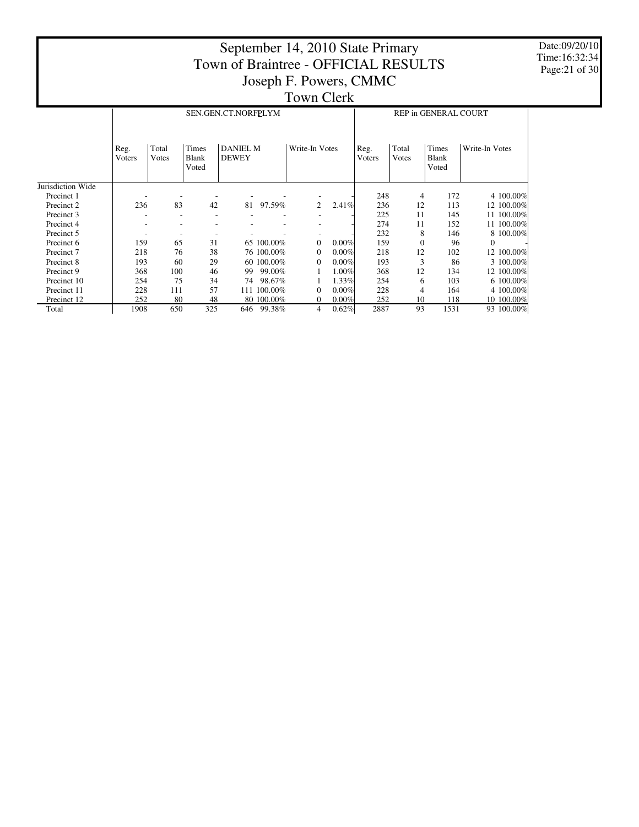Date:09/20/10 Time:16:32:34 Page:21 of 30

|                   |                |                |                         | SEN.GEN.CT.NORFPLYM             |            |                |          | <b>REP in GENERAL COURT</b> |                |                                       |                |  |  |
|-------------------|----------------|----------------|-------------------------|---------------------------------|------------|----------------|----------|-----------------------------|----------------|---------------------------------------|----------------|--|--|
|                   | Reg.<br>Voters | Total<br>Votes | Times<br>Blank<br>Voted | <b>DANIEL M</b><br><b>DEWEY</b> |            | Write-In Votes |          | Reg.<br>Voters              | Total<br>Votes | <b>Times</b><br><b>Blank</b><br>Voted | Write-In Votes |  |  |
| Jurisdiction Wide |                |                |                         |                                 |            |                |          |                             |                |                                       |                |  |  |
| Precinct 1        |                |                |                         |                                 |            |                |          | 248                         | 4              | 172                                   | 4 100.00%      |  |  |
| Precinct 2        | 236            | 83             | 42                      | 81                              | 97.59%     | 2              | 2.41%    | 236                         | 12             | 113                                   | 12 100.00%     |  |  |
| Precinct 3        |                |                | ۰                       |                                 |            |                |          | 225                         | 11             | 145                                   | 11 100.00%     |  |  |
| Precinct 4        |                |                | ۰                       |                                 |            |                |          | 274                         | 11             | 152                                   | 11 100.00%     |  |  |
| Precinct 5        |                |                | ٠                       |                                 |            |                |          | 232                         | 8              | 146                                   | 8 100,00%      |  |  |
| Precinct 6        | 159            | 65             | 31                      |                                 | 65 100.00% | $\Omega$       | 0.00%    | 159                         | $\mathbf{0}$   | 96                                    | $\Omega$       |  |  |
| Precinct 7        | 218            | 76             | 38                      |                                 | 76 100,00% | $\theta$       | 0.00%    | 218                         | 12             | 102                                   | 12 100.00%     |  |  |
| Precinct 8        | 193            | 60             | 29                      |                                 | 60 100.00% | $\Omega$       | 0.00%    | 193                         | 3              | 86                                    | 3 100.00%      |  |  |
| Precinct 9        | 368            | 100            | 46                      | 99                              | 99.00%     |                | $1.00\%$ | 368                         | 12             | 134                                   | 12 100.00%     |  |  |
| Precinct 10       | 254            | 75             | 34                      | 74                              | 98.67%     |                | 1.33%    | 254                         | 6              | 103                                   | 6 100.00%      |  |  |
| Precinct 11       | 228            | 111            | 57                      | 111                             | 100.00%    | $\Omega$       | 0.00%    | 228                         | 4              | 164                                   | 4 100.00%      |  |  |
| Precinct 12       | 252            | 80             | 48                      |                                 | 80 100.00% | $\mathbf{0}$   | 0.00%    | 252                         | 10             | 118                                   | 10 100.00%     |  |  |
| Total             | 1908           | 650            | 325                     | 646                             | 99.38%     | 4              | 0.62%    | 2887                        | 93             | 1531                                  | 93 100.00%     |  |  |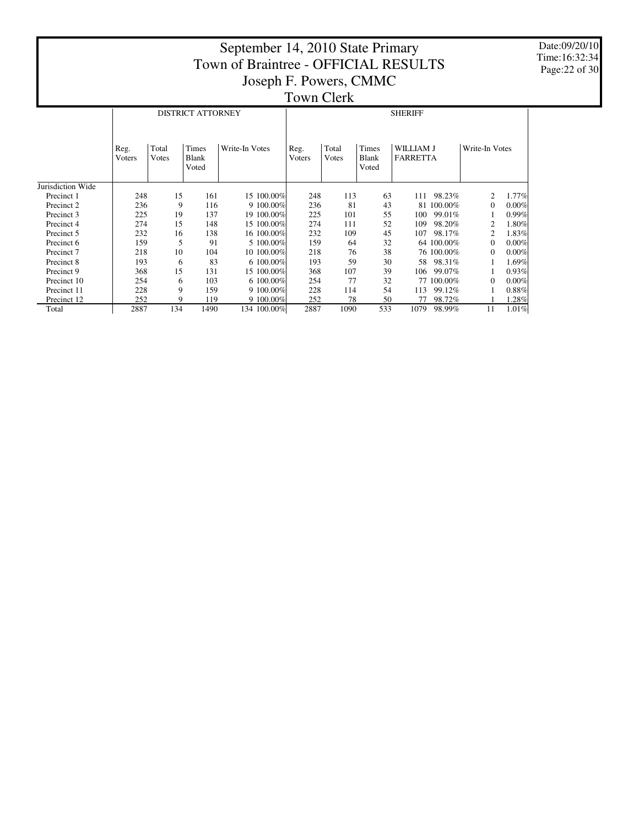Date:09/20/10 Time:16:32:34 Page:22 of 30

|                   |                |                | <b>DISTRICT ATTORNEY</b>       |                |                |                |                                | <b>SHERIFF</b>               |                |          |  |  |
|-------------------|----------------|----------------|--------------------------------|----------------|----------------|----------------|--------------------------------|------------------------------|----------------|----------|--|--|
|                   | Reg.<br>Voters | Total<br>Votes | Times<br><b>Blank</b><br>Voted | Write-In Votes | Reg.<br>Voters | Total<br>Votes | Times<br><b>Blank</b><br>Voted | WILLIAM J<br><b>FARRETTA</b> | Write-In Votes |          |  |  |
| Jurisdiction Wide |                |                |                                |                |                |                |                                |                              |                |          |  |  |
| Precinct 1        | 248            | 15             | 161                            | 15 100.00%     | 248            | 113            | 63                             | 98.23%<br>111                | 2              | $1.77\%$ |  |  |
| Precinct 2        | 236            | 9              | 116                            | 9 100.00%      | 236            | 81             | 43                             | 100.00%<br>81                | $\Omega$       | 0.00%    |  |  |
| Precinct 3        | 225            | 19             | 137                            | 19 100.00%     | 225            | 101            | 55                             | 99.01%<br>100                |                | 0.99%    |  |  |
| Precinct 4        | 274            | 15             | 148                            | 15 100.00%     | 274            | 111            | 52                             | 98.20%<br>109                | 2              | 1.80%    |  |  |
| Precinct 5        | 232            | 16             | 138                            | 16 100.00%     | 232            | 109            | 45                             | 107<br>98.17%                | 2              | 1.83%    |  |  |
| Precinct 6        | 159            | 5              | 91                             | 5 100,00%      | 159            | 64             | 32                             | 64 100.00%                   | $\Omega$       | 0.00%    |  |  |
| Precinct 7        | 218            | 10             | 104                            | 10 100.00%     | 218            | 76             | 38                             | 76 100.00%                   | 0              | 0.00%    |  |  |
| Precinct 8        | 193            | 6              | 83                             | 6 100.00%      | 193            | 59             | 30                             | 98.31%<br>58                 |                | 1.69%    |  |  |
| Precinct 9        | 368            | 15             | 131                            | 15 100.00%     | 368            | 107            | 39                             | 99.07%<br>106                |                | 0.93%    |  |  |
| Precinct 10       | 254            | 6              | 103                            | 6 100.00%      | 254            | 77             | 32                             | 77 100.00%                   | 0              | 0.00%    |  |  |
| Precinct 11       | 228            | 9              | 159                            | 9 100.00%      | 228            | 114            | 54                             | 99.12%<br>113                |                | 0.88%    |  |  |
| Precinct 12       | 252            | 9              | 119                            | 9 100.00%      | 252            | 78             | 50                             | 98.72%<br>77                 |                | 1.28%    |  |  |
| Total             | 2887           | 134            | 1490                           | 134 100.00%    | 2887           | 1090           | 533                            | 1079<br>98.99%               | 11             | 1.01%    |  |  |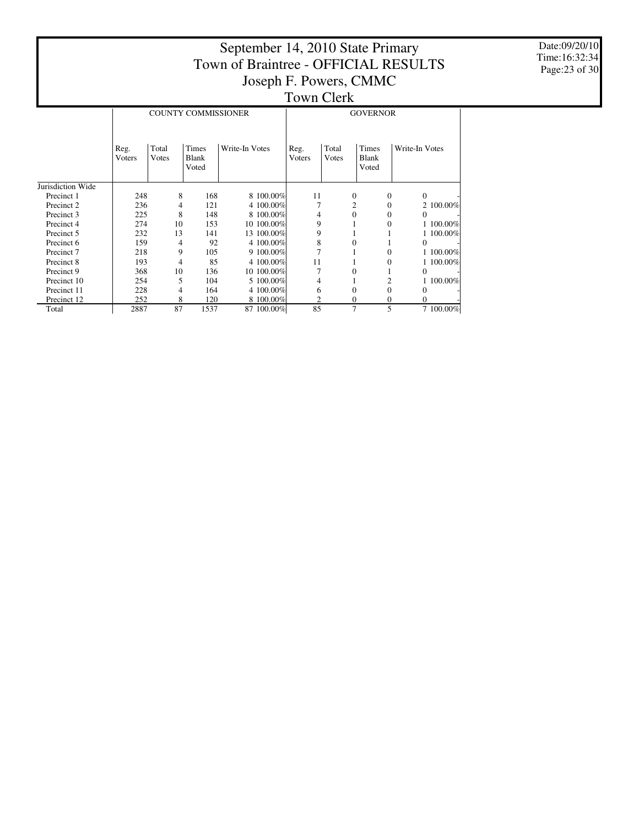Date:09/20/10 Time:16:32:34 Page:23 of 30

|                   |                |                | <b>COUNTY COMMISSIONER</b> |                | <b>GOVERNOR</b> |                |                         |                |  |  |
|-------------------|----------------|----------------|----------------------------|----------------|-----------------|----------------|-------------------------|----------------|--|--|
|                   | Reg.<br>Voters | Total<br>Votes | Times<br>Blank<br>Voted    | Write-In Votes | Reg.<br>Voters  | Total<br>Votes | Times<br>Blank<br>Voted | Write-In Votes |  |  |
| Jurisdiction Wide |                |                |                            |                |                 |                |                         |                |  |  |
| Precinct 1        | 248            | 8              | 168                        | 8 100.00%      | 11              | $\theta$       | $\theta$                | $\Omega$       |  |  |
| Precinct 2        | 236            | 4              | 121                        | 4 100.00%      |                 | 2              | $\mathbf{0}$            | 2 100,00%      |  |  |
| Precinct 3        | 225            | 8              | 148                        | 8 100.00%      | 4               | 0              | $\Omega$                | 0              |  |  |
| Precinct 4        | 274            | 10             | 153                        | 10 100.00%     | 9               |                | $\Omega$                | 1 100.00%      |  |  |
| Precinct 5        | 232            | 13             | 141                        | 13 100.00%     | 9               |                |                         | 1 100.00%      |  |  |
| Precinct 6        | 159            | 4              | 92                         | 4 100.00%      | 8               | $\Omega$       |                         | $\Omega$       |  |  |
| Precinct 7        | 218            | 9              | 105                        | $9100.00\%$    | 7               |                | $\Omega$                | 1 100.00%      |  |  |
| Precinct 8        | 193            | 4              | 85                         | 4 100.00%      | 11              |                | $\Omega$                | 1 100.00%      |  |  |
| Precinct 9        | 368            | 10             | 136                        | 10 100.00%     | 7               | $\Omega$       |                         | $\Omega$       |  |  |
| Precinct 10       | 254            | 5              | 104                        | 5 100.00%      | 4               |                | $\overline{c}$          | 1 100.00%      |  |  |
| Precinct 11       | 228            | 4              | 164                        | 4 100.00%      | 6               | $\mathbf{0}$   | $\Omega$                | $\Omega$       |  |  |
| Precinct 12       | 252            | 8              | 120                        | 8 100.00%      | 2               | $\mathbf{0}$   | $\mathbf{0}$            | $\Omega$       |  |  |
| Total             | 2887           | 87             | 1537                       | 87 100.00%     | 85              | 7              | 5                       | 7 100.00%      |  |  |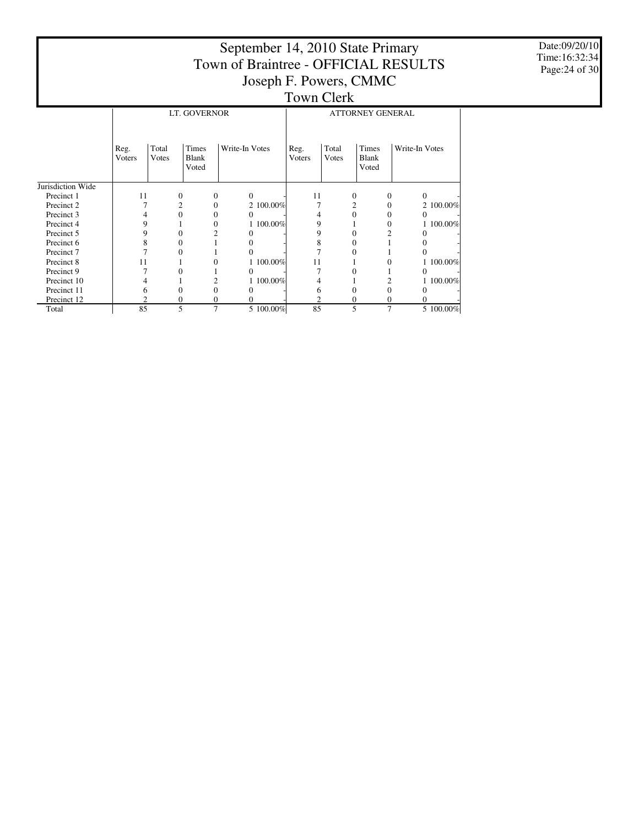|                   |                |                                       |                                |                |           |                       |                  | September 14, 2010 State Primary<br>Joseph F. Powers, CMMC | Town of Braintree - OFFICIAL RESULTS |           |  |  |  |
|-------------------|----------------|---------------------------------------|--------------------------------|----------------|-----------|-----------------------|------------------|------------------------------------------------------------|--------------------------------------|-----------|--|--|--|
|                   |                |                                       |                                |                |           | <b>Town Clerk</b>     |                  |                                                            |                                      |           |  |  |  |
|                   |                |                                       | LT. GOVERNOR                   |                |           |                       |                  | <b>ATTORNEY GENERAL</b>                                    |                                      |           |  |  |  |
|                   | Reg.<br>Voters | Total<br>Votes                        | Times<br><b>Blank</b><br>Voted | Write-In Votes |           | Reg.<br><b>Voters</b> | Total<br>Votes   | Times<br>Blank<br>Voted                                    | Write-In Votes                       |           |  |  |  |
| Jurisdiction Wide |                |                                       |                                |                |           |                       |                  |                                                            |                                      |           |  |  |  |
| Precinct 1        | 11             | $\mathbf{0}$                          | $\theta$                       | $\mathbf{0}$   |           | 11                    | $\boldsymbol{0}$ | $\mathbf{0}$                                               | $\mathbf{0}$                         |           |  |  |  |
| Precinct 2        |                | $\overline{2}$                        | $\mathbf{0}$                   |                | 2 100.00% |                       | $\overline{2}$   | $\mathbf{0}$                                               |                                      | 2 100.00% |  |  |  |
| Precinct 3        |                | $\Omega$                              | 0                              | 0              |           | 4                     | $\Omega$         | $\Omega$                                                   | 0                                    |           |  |  |  |
| Precinct 4        | 9              |                                       | $\Omega$                       |                | 1 100.00% | 9                     |                  | $\Omega$                                                   |                                      | 100.00%   |  |  |  |
| Precinct 5        | 9              | $\Omega$                              | 2                              |                |           | 9                     | 0                | 2                                                          |                                      |           |  |  |  |
| Precinct 6        | 8              | $\Omega$                              |                                |                |           | 8                     | $\Omega$         |                                                            |                                      |           |  |  |  |
| Precinct 7        |                | $\theta$                              |                                | 0              |           |                       |                  |                                                            |                                      |           |  |  |  |
| Precinct 8        | 11             |                                       | $\Omega$                       |                | 1 100.00% | 11                    |                  | 0                                                          |                                      | 100.00%   |  |  |  |
| Precinct 9        |                | $\Omega$<br>$\theta$<br>0<br>0        |                                |                |           |                       |                  |                                                            |                                      |           |  |  |  |
| Precinct 10       |                | 1 100.00%<br>1 100.00%<br>2<br>2<br>4 |                                |                |           |                       |                  |                                                            |                                      |           |  |  |  |
| Precinct 11       | 6              | $\Omega$                              | $\mathbf{0}$                   |                |           | 6                     | $\overline{0}$   | $\boldsymbol{0}$                                           | $\Omega$                             |           |  |  |  |
| Precinct 12       | 2              | $\Omega$                              | 0                              | 0              |           | 2                     | $\theta$         | 0                                                          | 0                                    |           |  |  |  |
| Total             | 85             | 5                                     | $\overline{7}$                 |                | 5 100.00% | 85                    | 5                | $\overline{7}$                                             |                                      | 5 100.00% |  |  |  |

Date:09/20/10 Time:16:32:34 Page:24 of 30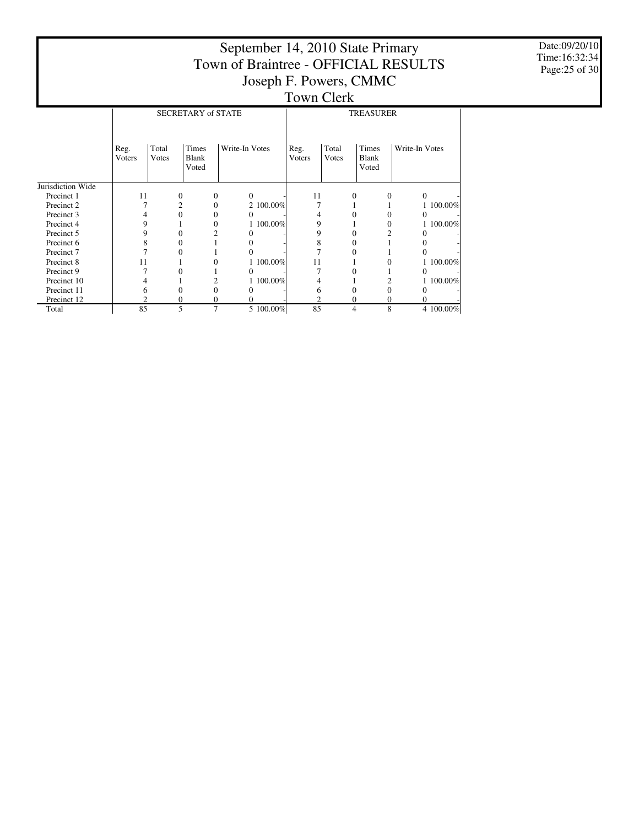|                       |                        |                                               |                                       | September 14, 2010 State Primary     |                        |                |                                       |                |  |  |  |  |  |
|-----------------------|------------------------|-----------------------------------------------|---------------------------------------|--------------------------------------|------------------------|----------------|---------------------------------------|----------------|--|--|--|--|--|
|                       |                        |                                               |                                       | Town of Braintree - OFFICIAL RESULTS |                        |                |                                       |                |  |  |  |  |  |
|                       |                        |                                               |                                       | Joseph F. Powers, CMMC               |                        |                |                                       |                |  |  |  |  |  |
|                       |                        |                                               |                                       |                                      | <b>Town Clerk</b>      |                |                                       |                |  |  |  |  |  |
|                       |                        | <b>SECRETARY of STATE</b><br><b>TREASURER</b> |                                       |                                      |                        |                |                                       |                |  |  |  |  |  |
|                       |                        |                                               |                                       |                                      |                        |                |                                       |                |  |  |  |  |  |
|                       | Reg.<br><b>V</b> oters | Total<br><b>V</b> otes                        | <b>Times</b><br><b>Blank</b><br>Voted | Write-In Votes                       | Reg.<br><b>V</b> oters | Total<br>Votes | <b>Times</b><br><b>Blank</b><br>Voted | Write-In Votes |  |  |  |  |  |
| Jurisdiction Wide     |                        |                                               |                                       |                                      |                        |                |                                       |                |  |  |  |  |  |
| Precinct 1            | 11                     | 0                                             | 0                                     | $\mathbf{0}$                         | 11                     | 0              | 0                                     | $\mathbf{0}$   |  |  |  |  |  |
| Precinct 2            |                        | 2                                             | $\Omega$                              | 2 100.00%                            |                        |                |                                       | 1 100.00%      |  |  |  |  |  |
| Precinct 3            |                        | $\mathbf{0}$                                  | 0                                     | $\mathbf{0}$                         | 4                      | 0              | 0                                     | $\mathbf{0}$   |  |  |  |  |  |
| Precinct 4            | 9                      |                                               | 0                                     | 1 100.00%                            | 9                      |                | 0                                     | 1 100.00%      |  |  |  |  |  |
| Precinct 5            | 9                      | $\theta$                                      | 2                                     | 0                                    | 9                      | $\theta$       | 2                                     | $\Omega$       |  |  |  |  |  |
| Precinct 6            |                        | $\Omega$                                      |                                       | 0                                    | 8                      | 0              |                                       | 0              |  |  |  |  |  |
| Precinct <sub>7</sub> |                        | $\Omega$                                      |                                       | $\Omega$                             |                        | 0              |                                       | 0              |  |  |  |  |  |
| Precinct 8            | 11                     |                                               | 0                                     | 1 100.00%                            | 11                     |                | 0                                     | 1 100.00%      |  |  |  |  |  |
| Precinct 9            |                        | $\Omega$                                      |                                       | 0                                    |                        | 0              |                                       | $\Omega$       |  |  |  |  |  |
| Precinct 10           |                        |                                               | 2                                     | 100.00%                              |                        |                | 2                                     | 1 100.00%      |  |  |  |  |  |
| Precinct 11           | 6                      | $\Omega$                                      | 0                                     | $\mathbf{0}$                         | 6                      | 0              | 0                                     | $\Omega$       |  |  |  |  |  |
| Precinct 12           | ◠                      | 0                                             | 0                                     | 0                                    | 2                      | 0              | 0                                     | 0              |  |  |  |  |  |
| Total                 | 85                     | 5                                             | 7                                     | 5 100.00%                            | 85                     | 4              | 8                                     | 4 100.00%      |  |  |  |  |  |

Date:09/20/10 Time:16:32:34 Page:25 of 30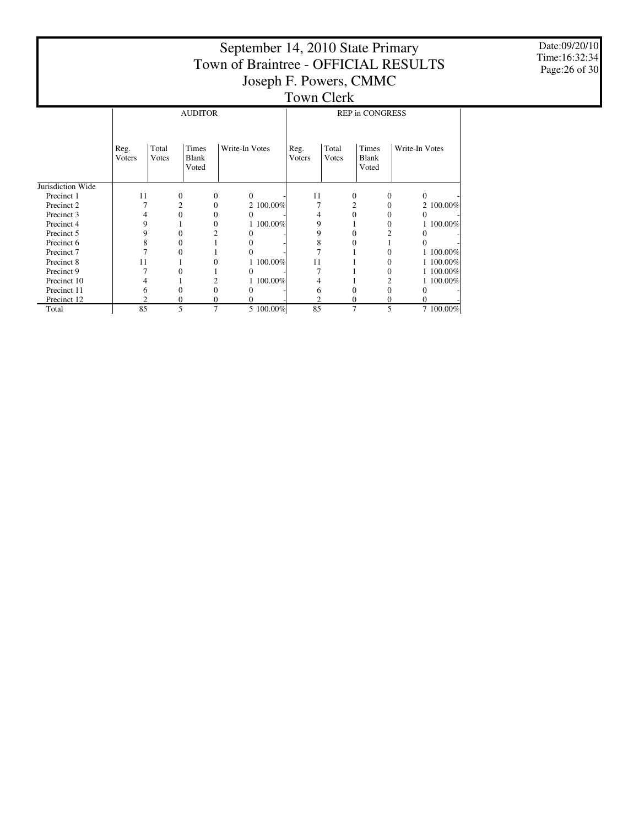|                   |                                          |                |                                       |                | September 14, 2010 State Primary     |                |                        |                                       |                  |           |  |  |
|-------------------|------------------------------------------|----------------|---------------------------------------|----------------|--------------------------------------|----------------|------------------------|---------------------------------------|------------------|-----------|--|--|
|                   |                                          |                |                                       |                | Town of Braintree - OFFICIAL RESULTS |                |                        |                                       |                  |           |  |  |
|                   |                                          |                |                                       |                | Joseph F. Powers, CMMC               |                |                        |                                       |                  |           |  |  |
|                   |                                          |                |                                       |                |                                      |                | <b>Town Clerk</b>      |                                       |                  |           |  |  |
|                   | <b>AUDITOR</b><br><b>REP in CONGRESS</b> |                |                                       |                |                                      |                |                        |                                       |                  |           |  |  |
|                   |                                          |                |                                       |                |                                      |                |                        |                                       |                  |           |  |  |
|                   | Reg.<br><b>V</b> oters                   | Total<br>Votes | <b>Times</b><br><b>Blank</b><br>Voted |                | Write-In Votes                       | Reg.<br>Voters | Total<br><b>V</b> otes | <b>Times</b><br><b>Blank</b><br>Voted | Write-In Votes   |           |  |  |
| Jurisdiction Wide |                                          |                |                                       |                |                                      |                |                        |                                       |                  |           |  |  |
| Precinct 1        | 11                                       |                | $\mathbf{0}$                          | $\Omega$       | $\Omega$                             | 11             | 0                      |                                       | 0                | $\Omega$  |  |  |
| Precinct 2        |                                          |                | 2                                     | $\Omega$       | 2 100.00%                            |                | 2                      |                                       | $\mathbf{0}$     | 2 100.00% |  |  |
| Precinct 3        | 4                                        |                | $\Omega$                              | 0              | $\Omega$                             | 4              | $\Omega$               |                                       | 0                | $\Omega$  |  |  |
| Precinct 4        | 9                                        |                |                                       | $\theta$       | 100.00%                              | 9              |                        |                                       | $\mathbf{0}$     | 1 100.00% |  |  |
| Precinct 5        | 9                                        |                | $\Omega$                              |                | $\Omega$                             | 9              | $\Omega$               |                                       | 2                | $\Omega$  |  |  |
| Precinct 6        | 8                                        |                | $\Omega$                              |                | $\Omega$                             | 8              | $\Omega$               |                                       |                  | 0         |  |  |
| Precinct 7        | 7                                        |                | 0                                     |                | $\Omega$                             | 7              |                        |                                       | 0                | 1 100.00% |  |  |
| Precinct 8        | 11                                       |                |                                       | 0              | 100.00%                              | 11             |                        |                                       | $\Omega$         | 1 100.00% |  |  |
| Precinct 9        |                                          |                | 0                                     |                | $\Omega$                             |                |                        |                                       | $\boldsymbol{0}$ | 1 100.00% |  |  |
| Precinct 10       | 4                                        |                |                                       | $\overline{c}$ | 1 100,00%                            | 4              |                        |                                       | 2                | 1 100.00% |  |  |
| Precinct 11       | 6                                        |                | $\Omega$                              | $\theta$       | $\Omega$                             | 6              | $\overline{0}$         |                                       | $\mathbf{0}$     | 0         |  |  |
| Precinct 12       | 2                                        |                | $\Omega$                              | 0              | 0                                    | 2              | $\mathbf{0}$           |                                       | 0                | $\Omega$  |  |  |
| Total             | 85                                       |                | 5                                     | 7              | 5 100.00%                            | 85             | 7                      |                                       | 5                | 7 100.00% |  |  |

Date:09/20/10 Time:16:32:34 Page:26 of 30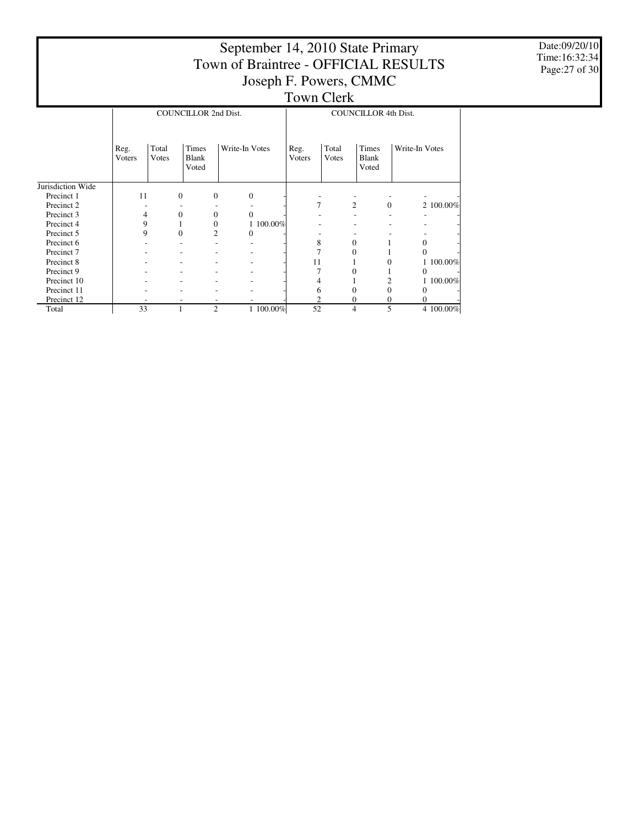|                   | September 14, 2010 State Primary<br>Town of Braintree - OFFICIAL RESULTS |                |                                |                        |                   |                       |                                |                |  |  |  |  |
|-------------------|--------------------------------------------------------------------------|----------------|--------------------------------|------------------------|-------------------|-----------------------|--------------------------------|----------------|--|--|--|--|
|                   |                                                                          |                |                                | Joseph F. Powers, CMMC |                   |                       |                                |                |  |  |  |  |
|                   |                                                                          |                |                                |                        | <b>Town Clerk</b> |                       |                                |                |  |  |  |  |
|                   | <b>COUNCILLOR 2nd Dist.</b><br><b>COUNCILLOR 4th Dist.</b>               |                |                                |                        |                   |                       |                                |                |  |  |  |  |
|                   | Reg.<br>Voters                                                           | Total<br>Votes | Times<br><b>Blank</b><br>Voted | Write-In Votes         | Reg.<br>Voters    | Total<br><b>Votes</b> | Times<br><b>Blank</b><br>Voted | Write-In Votes |  |  |  |  |
| Jurisdiction Wide |                                                                          |                |                                |                        |                   |                       |                                |                |  |  |  |  |
| Precinct 1        | 11                                                                       | $\mathbf{0}$   | $\theta$                       | $\boldsymbol{0}$       |                   |                       |                                |                |  |  |  |  |
| Precinct 2        |                                                                          |                |                                |                        | $\overline{7}$    | $\overline{2}$        | $\Omega$                       | 2 100.00%      |  |  |  |  |
| Precinct 3        | 4                                                                        | $\Omega$       | $\Omega$                       | $\Omega$               |                   |                       |                                |                |  |  |  |  |
| Precinct 4        | 9                                                                        |                | $\mathbf{0}$                   | 1 100.00%              |                   |                       |                                |                |  |  |  |  |
| Precinct 5        | 9                                                                        | $\theta$       | $\overline{c}$                 | 0                      |                   |                       |                                |                |  |  |  |  |
| Precinct 6        |                                                                          |                |                                |                        | 8                 | $\Omega$              |                                | $\mathbf{0}$   |  |  |  |  |
| Precinct 7        |                                                                          |                |                                |                        | 7                 | $\Omega$              |                                | $\Omega$       |  |  |  |  |
| Precinct 8        |                                                                          |                |                                |                        | 11                |                       | $\Omega$                       | 1 100.00%      |  |  |  |  |
| Precinct 9        |                                                                          |                |                                |                        |                   | $\Omega$              |                                | $\Omega$       |  |  |  |  |
| Precinct 10       |                                                                          |                |                                |                        |                   |                       | 2                              | 1 100.00%      |  |  |  |  |
| Precinct 11       |                                                                          |                |                                |                        | 6                 | $\Omega$              | $\overline{0}$                 | 0              |  |  |  |  |
| Precinct 12       |                                                                          |                |                                |                        | $\overline{2}$    | $\Omega$              | $\overline{0}$                 | 0              |  |  |  |  |
| Total             | 33                                                                       |                | $\overline{2}$                 | 1 100.00%              | 52                | 4                     | 5                              | 4 100.00%      |  |  |  |  |

Date:09/20/10 Time:16:32:34 Page:27 of 30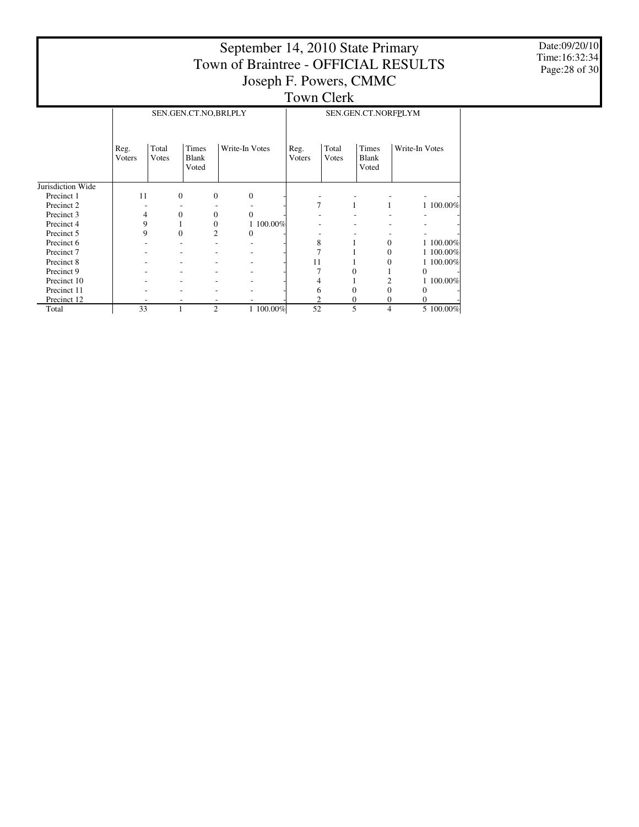|                       |                |                |                                | September 14, 2010 State Primary                               |                   |                |                                       |                |                |
|-----------------------|----------------|----------------|--------------------------------|----------------------------------------------------------------|-------------------|----------------|---------------------------------------|----------------|----------------|
|                       |                |                |                                | Town of Braintree - OFFICIAL RESULTS<br>Joseph F. Powers, CMMC |                   |                |                                       |                |                |
|                       |                |                |                                |                                                                | <b>Town Clerk</b> |                |                                       |                |                |
|                       |                |                | SEN.GEN.CT.NO,BRI,PLY          |                                                                |                   |                | SEN.GEN.CT.NORFPLYM                   |                |                |
|                       | Reg.<br>Voters | Total<br>Votes | Times<br><b>Blank</b><br>Voted | Write-In Votes                                                 | Reg.<br>Voters    | Total<br>Votes | <b>Times</b><br><b>Blank</b><br>Voted | Write-In Votes |                |
| Jurisdiction Wide     |                |                |                                |                                                                |                   |                |                                       |                |                |
| Precinct 1            | 11             | $\mathbf{0}$   | $\mathbf{0}$                   | $\overline{0}$                                                 |                   |                |                                       |                |                |
| Precinct 2            |                |                |                                |                                                                | 7                 |                |                                       |                | 1 100.00%      |
| Precinct 3            | 4              | $\mathbf{0}$   | $\theta$                       | $\Omega$                                                       |                   |                |                                       |                |                |
| Precinct 4            | 9              | $\mathbf{1}$   | $\overline{0}$                 | 1 100.00%                                                      |                   |                |                                       |                |                |
| Precinct 5            | 9              | $\theta$       | $\overline{2}$                 | $\Omega$                                                       |                   |                |                                       |                |                |
| Precinct 6            |                |                |                                |                                                                | 8                 |                | 1                                     | $\mathbf{0}$   | 1 100.00%      |
| Precinct <sub>7</sub> |                |                |                                |                                                                |                   |                |                                       | $\mathbf{0}$   | 100.00%        |
| Precinct 8            |                |                |                                |                                                                | 11                |                |                                       | 0              | 1 100,00%      |
| Precinct 9            |                |                |                                |                                                                |                   |                | $\overline{0}$                        |                | $\overline{0}$ |
| Precinct 10           |                |                |                                |                                                                | 4                 |                |                                       | 2              | 100.00%        |
| Precinct 11           |                |                |                                |                                                                | 6                 |                | $\overline{0}$                        | $\overline{0}$ | $\theta$       |
| Precinct 12           |                |                |                                |                                                                | 2                 |                | 0                                     | 0              | $\Omega$       |
| Total                 | 33             | 1              | $\overline{2}$                 | 1 100.00%                                                      | 52                |                | 5                                     | 4              | 5 100.00%      |

Date:09/20/10 Time:16:32:34 Page:28 of 30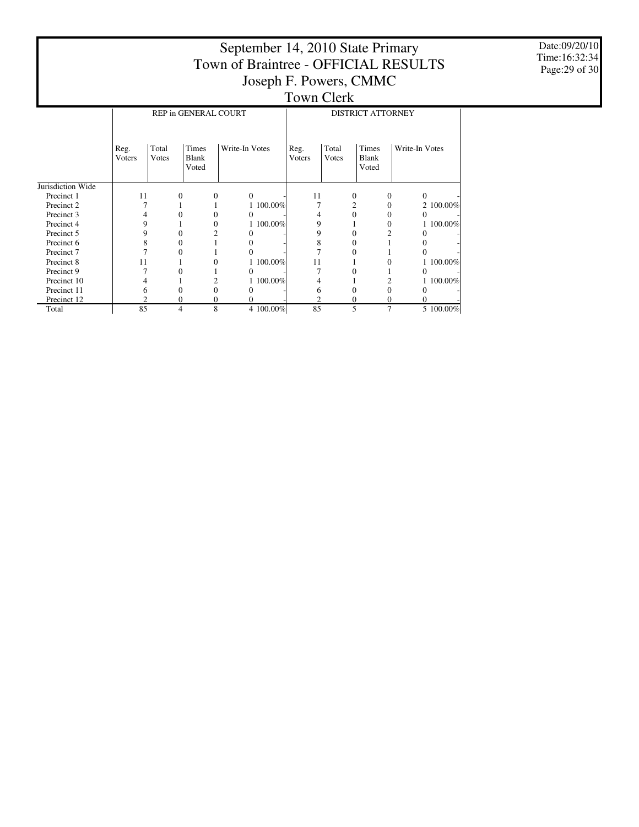|                   |                |                |                                       | September 14, 2010 State Primary     |           |                        |                |                                |   |                |           |
|-------------------|----------------|----------------|---------------------------------------|--------------------------------------|-----------|------------------------|----------------|--------------------------------|---|----------------|-----------|
|                   |                |                |                                       | Town of Braintree - OFFICIAL RESULTS |           |                        |                |                                |   |                |           |
|                   |                |                |                                       |                                      |           | Joseph F. Powers, CMMC |                |                                |   |                |           |
|                   |                |                |                                       |                                      |           | <b>Town Clerk</b>      |                |                                |   |                |           |
|                   |                |                | REP in GENERAL COURT                  |                                      |           |                        |                | <b>DISTRICT ATTORNEY</b>       |   |                |           |
|                   |                |                |                                       |                                      |           |                        |                |                                |   |                |           |
|                   |                |                |                                       |                                      |           |                        |                |                                |   |                |           |
|                   | Reg.<br>Voters | Total<br>Votes | <b>Times</b><br><b>Blank</b><br>Voted | Write-In Votes                       |           | Reg.<br>Voters         | Total<br>Votes | Times<br><b>Blank</b><br>Voted |   | Write-In Votes |           |
| Jurisdiction Wide |                |                |                                       |                                      |           |                        |                |                                |   |                |           |
| Precinct 1        | 11             | 0              | $\mathbf{0}$                          | $\Omega$                             |           | 11                     |                | $\mathbf{0}$                   | 0 | $\mathbf{0}$   |           |
| Precinct 2        |                |                |                                       |                                      | 1 100.00% |                        |                |                                | 0 |                | 2 100.00% |
| Precinct 3        | 4              | $\theta$       | $\Omega$                              | 0                                    |           |                        |                | $\theta$                       | 0 | $\Omega$       |           |
| Precinct 4        | 9              |                | 0                                     |                                      | 1 100.00% | 9                      |                |                                | 0 |                | 1 100.00% |
| Precinct 5        | 9              | $\Omega$       | 2                                     |                                      |           | 9                      |                | $\Omega$                       | 2 | 0              |           |
| Precinct 6        | 8              | 0              |                                       |                                      |           | 8                      |                | 0                              |   | 0              |           |
| Precinct 7        |                | $_{0}$         |                                       |                                      |           |                        |                | 0                              |   | $\Omega$       |           |
| Precinct 8        | 11             |                |                                       |                                      | 1 100.00% | 11                     |                |                                |   |                | 1 100.00% |
| Precinct 9        |                | $\theta$       |                                       | 0                                    |           |                        |                | 0                              |   | $\Omega$       |           |
| Precinct 10       |                |                | 2                                     |                                      | 1 100.00% |                        |                |                                | 2 |                | 1 100.00% |
| Precinct 11       | h              | 0              | $\Omega$                              |                                      |           | 6                      |                | $\Omega$                       | 0 | 0              |           |
| Precinct 12       | 2              | $\Omega$       | $\Omega$                              |                                      |           | $\overline{c}$         |                | $\Omega$                       | 0 | 0              |           |
| Total             | 85             | 4              | 8                                     |                                      | 4 100.00% | 85                     |                | 5                              | 7 |                | 5 100.00% |

Date:09/20/10 Time:16:32:34 Page:29 of 30